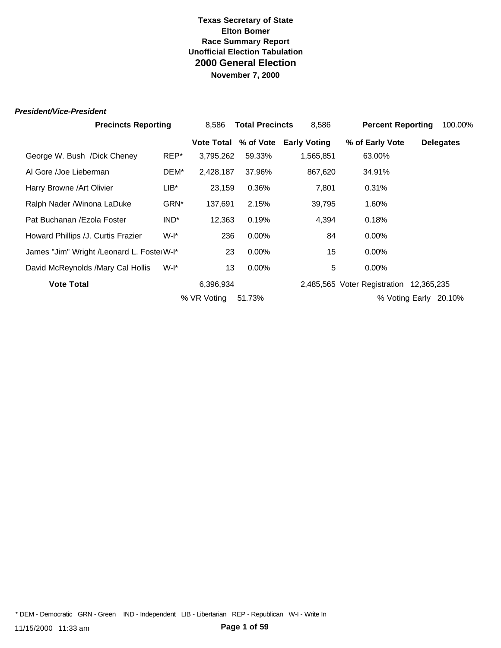#### *President/Vice-President*

|                                            | <b>Precincts Reporting</b> |                      | <b>Total Precincts</b><br>8.586 |                     | <b>Percent Reporting</b>                | 100.00%          |
|--------------------------------------------|----------------------------|----------------------|---------------------------------|---------------------|-----------------------------------------|------------------|
|                                            |                            | Vote Total % of Vote |                                 | <b>Early Voting</b> | % of Early Vote                         | <b>Delegates</b> |
| George W. Bush /Dick Cheney                | REP*                       | 3,795,262            | 59.33%                          | 1,565,851           | 63.00%                                  |                  |
| Al Gore /Joe Lieberman                     | DEM*                       | 2,428,187            | 37.96%                          | 867,620             | 34.91%                                  |                  |
| Harry Browne / Art Olivier                 | $LIB^*$                    | 23,159               | 0.36%                           | 7,801               | 0.31%                                   |                  |
| Ralph Nader / Winona LaDuke                | GRN*                       | 137,691              | 2.15%                           | 39,795              | 1.60%                                   |                  |
| Pat Buchanan / Ezola Foster                | IND <sup>*</sup>           | 12,363               | 0.19%                           | 4,394               | 0.18%                                   |                  |
| Howard Phillips /J. Curtis Frazier         | W-I*                       | 236                  | $0.00\%$                        | 84                  | $0.00\%$                                |                  |
| James "Jim" Wright / Leonard L. Foste W-I* |                            | 23                   | $0.00\%$                        | 15                  | $0.00\%$                                |                  |
| David McReynolds /Mary Cal Hollis          | $W-I^*$                    | 13                   | 0.00%                           | 5                   | $0.00\%$                                |                  |
| <b>Vote Total</b>                          |                            | 6,396,934            |                                 |                     | 2,485,565 Voter Registration 12,365,235 |                  |
|                                            |                            | % VR Voting          | 51.73%                          |                     | % Voting Early                          | 20.10%           |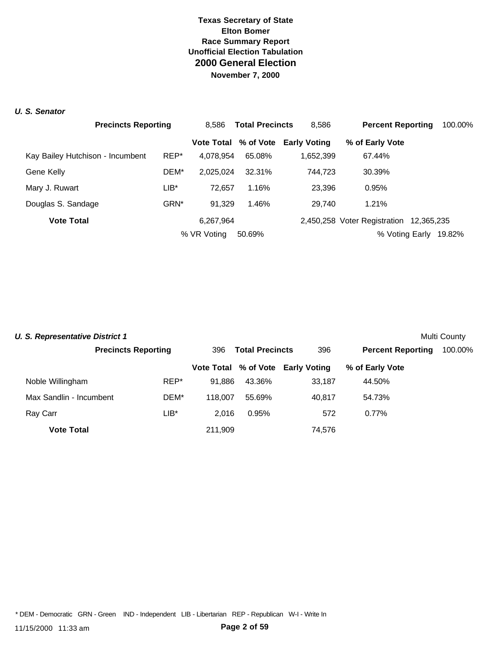#### *U. S. Senator*

|                                  | <b>Precincts Reporting</b> |             | <b>Total Precincts</b><br>8.586 |                                   | <b>Percent Reporting</b>                | 100.00% |
|----------------------------------|----------------------------|-------------|---------------------------------|-----------------------------------|-----------------------------------------|---------|
|                                  |                            |             |                                 | Vote Total % of Vote Early Voting | % of Early Vote                         |         |
| Kay Bailey Hutchison - Incumbent | REP*                       | 4,078,954   | 65.08%                          | 1,652,399                         | 67.44%                                  |         |
| Gene Kelly                       | DEM*                       | 2.025.024   | 32.31%                          | 744.723                           | 30.39%                                  |         |
| Mary J. Ruwart                   | $LIB*$                     | 72.657      | 1.16%                           | 23,396                            | 0.95%                                   |         |
| Douglas S. Sandage               | GRN <sup>*</sup>           | 91.329      | 1.46%                           | 29.740                            | 1.21%                                   |         |
| <b>Vote Total</b>                |                            | 6,267,964   |                                 |                                   | 2,450,258 Voter Registration 12,365,235 |         |
|                                  |                            | % VR Voting | 50.69%                          |                                   | % Voting Early                          | 19.82%  |

| <b>U. S. Representative District 1</b> |                            |         |                        |                                   |                          | Multi County |
|----------------------------------------|----------------------------|---------|------------------------|-----------------------------------|--------------------------|--------------|
|                                        | <b>Precincts Reporting</b> | 396     | <b>Total Precincts</b> |                                   | <b>Percent Reporting</b> | 100.00%      |
|                                        |                            |         |                        | Vote Total % of Vote Early Voting | % of Early Vote          |              |
| Noble Willingham                       | REP*                       | 91.886  | 43.36%                 | 33.187                            | 44.50%                   |              |
| Max Sandlin - Incumbent                | DEM*                       | 118,007 | 55.69%                 | 40.817                            | 54.73%                   |              |
| Ray Carr                               | LIB*                       | 2.016   | 0.95%                  | 572                               | $0.77\%$                 |              |
| <b>Vote Total</b>                      |                            | 211,909 |                        | 74,576                            |                          |              |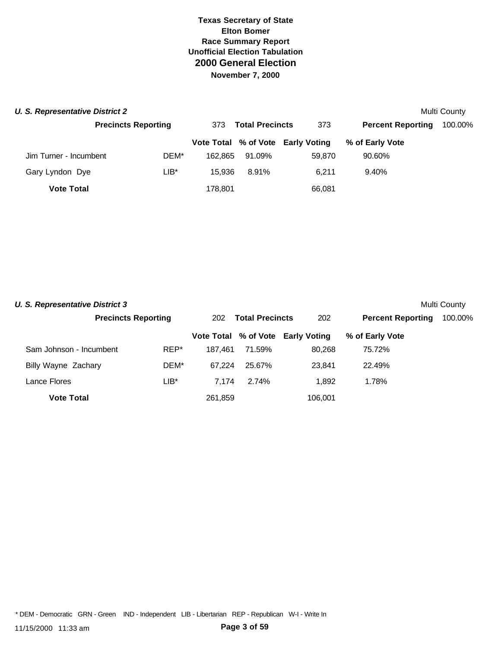| <b>U. S. Representative District 2</b> |                            |         |                               |        |                                   |                          | Multi County |
|----------------------------------------|----------------------------|---------|-------------------------------|--------|-----------------------------------|--------------------------|--------------|
|                                        | <b>Precincts Reporting</b> |         | <b>Total Precincts</b><br>373 |        | 373                               | <b>Percent Reporting</b> | 100.00%      |
|                                        |                            |         |                               |        | Vote Total % of Vote Early Voting | % of Early Vote          |              |
| Jim Turner - Incumbent                 |                            | DEM*    | 162.865                       | 91.09% | 59.870                            | 90.60%                   |              |
| Gary Lyndon Dye                        |                            | $LIB^*$ | 15.936                        | 8.91%  | 6.211                             | 9.40%                    |              |
| <b>Vote Total</b>                      |                            |         | 178,801                       |        | 66,081                            |                          |              |

| <b>U. S. Representative District 3</b> |                            |      |                               |        |                                   |                          | Multi County |
|----------------------------------------|----------------------------|------|-------------------------------|--------|-----------------------------------|--------------------------|--------------|
|                                        | <b>Precincts Reporting</b> |      | <b>Total Precincts</b><br>202 |        | 202                               | <b>Percent Reporting</b> | 100.00%      |
|                                        |                            |      |                               |        | Vote Total % of Vote Early Voting | % of Early Vote          |              |
| Sam Johnson - Incumbent                |                            | REP* | 187.461                       | 71.59% | 80,268                            | 75.72%                   |              |
| Billy Wayne Zachary                    |                            | DEM* | 67.224                        | 25.67% | 23.841                            | 22.49%                   |              |
| Lance Flores                           |                            | LIB* | 7.174                         | 2.74%  | 1.892                             | 1.78%                    |              |
| <b>Vote Total</b>                      |                            |      | 261,859                       |        | 106,001                           |                          |              |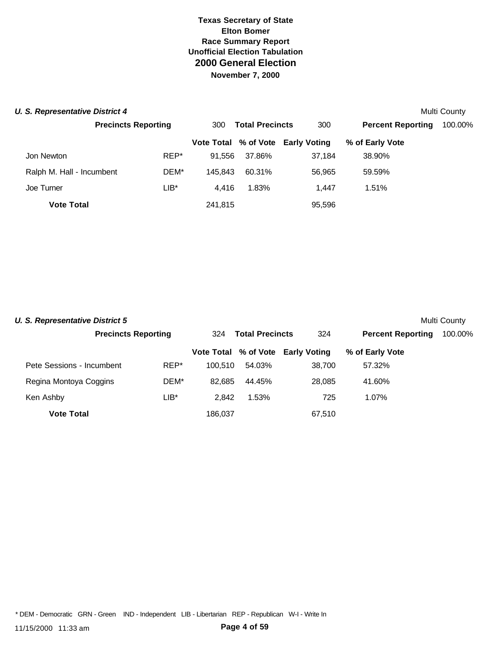#### **U. S. Representative District 4** Multi County **Multi County Multi County Multi County**

|                           | <b>Precincts Reporting</b> |         | <b>Total Precincts</b> | 300                               | <b>Percent Reporting</b> | 100.00% |
|---------------------------|----------------------------|---------|------------------------|-----------------------------------|--------------------------|---------|
|                           |                            |         |                        | Vote Total % of Vote Early Voting | % of Early Vote          |         |
| Jon Newton                | REP*                       | 91.556  | 37.86%                 | 37,184                            | 38.90%                   |         |
| Ralph M. Hall - Incumbent | DEM*                       | 145.843 | 60.31%                 | 56.965                            | 59.59%                   |         |
| Joe Turner                | $LIB^*$                    | 4.416   | 1.83%                  | 1.447                             | 1.51%                    |         |
| <b>Vote Total</b>         |                            | 241,815 |                        | 95,596                            |                          |         |

| <b>U. S. Representative District 5</b> |                            |      |         |                        |                                   |                          | Multi County |
|----------------------------------------|----------------------------|------|---------|------------------------|-----------------------------------|--------------------------|--------------|
|                                        | <b>Precincts Reporting</b> |      | 324     | <b>Total Precincts</b> | 324                               | <b>Percent Reporting</b> | 100.00%      |
|                                        |                            |      |         |                        | Vote Total % of Vote Early Voting | % of Early Vote          |              |
| Pete Sessions - Incumbent              |                            | REP* | 100.510 | 54.03%                 | 38.700                            | 57.32%                   |              |
| Regina Montoya Coggins                 |                            | DEM* | 82.685  | 44.45%                 | 28,085                            | 41.60%                   |              |
| Ken Ashby                              |                            | LIB* | 2.842   | 1.53%                  | 725                               | 1.07%                    |              |
| <b>Vote Total</b>                      |                            |      | 186.037 |                        | 67,510                            |                          |              |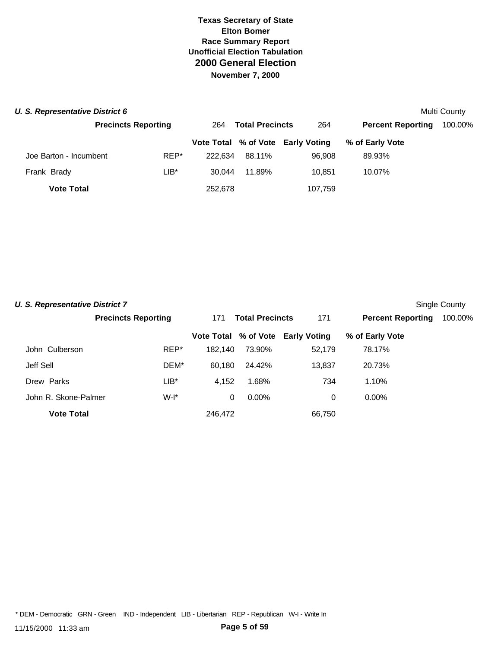| <b>U. S. Representative District 6</b> |                            |         |                               |        |                                   |                          | Multi County |
|----------------------------------------|----------------------------|---------|-------------------------------|--------|-----------------------------------|--------------------------|--------------|
|                                        | <b>Precincts Reporting</b> |         | <b>Total Precincts</b><br>264 |        | 264                               | <b>Percent Reporting</b> | 100.00%      |
|                                        |                            |         |                               |        | Vote Total % of Vote Early Voting | % of Early Vote          |              |
| Joe Barton - Incumbent                 |                            | REP*    | 222.634                       | 88.11% | 96.908                            | 89.93%                   |              |
| Frank Brady                            |                            | $LIB^*$ | 30.044                        | 11.89% | 10.851                            | 10.07%                   |              |
| <b>Vote Total</b>                      |                            |         | 252,678                       |        | 107,759                           |                          |              |

| <b>U. S. Representative District 7</b> |                            |         |                        |                                   |                          | Single County |
|----------------------------------------|----------------------------|---------|------------------------|-----------------------------------|--------------------------|---------------|
|                                        | <b>Precincts Reporting</b> | 171     | <b>Total Precincts</b> |                                   | <b>Percent Reporting</b> | 100.00%       |
|                                        |                            |         |                        | Vote Total % of Vote Early Voting | % of Early Vote          |               |
| John Culberson                         | REP*                       | 182.140 | 73.90%                 | 52,179                            | 78.17%                   |               |
| Jeff Sell                              | DEM*                       | 60,180  | 24.42%                 | 13,837                            | 20.73%                   |               |
| Drew Parks                             | $LIB*$                     | 4,152   | 1.68%                  | 734                               | 1.10%                    |               |
| John R. Skone-Palmer                   | $W-I^*$                    | 0       | $0.00\%$               | 0                                 | $0.00\%$                 |               |
| <b>Vote Total</b>                      |                            | 246.472 |                        | 66,750                            |                          |               |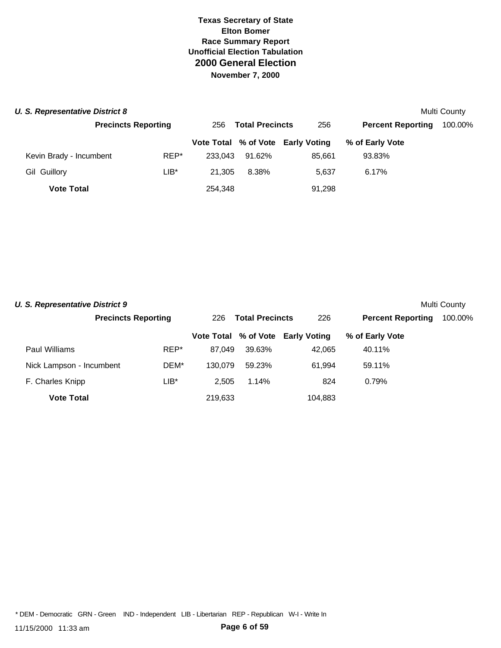| <b>U. S. Representative District 8</b> |                            |         |                               |        |                                   |                          | Multi County |
|----------------------------------------|----------------------------|---------|-------------------------------|--------|-----------------------------------|--------------------------|--------------|
|                                        | <b>Precincts Reporting</b> |         | <b>Total Precincts</b><br>256 |        | 256                               | <b>Percent Reporting</b> | 100.00%      |
|                                        |                            |         |                               |        | Vote Total % of Vote Early Voting | % of Early Vote          |              |
| Kevin Brady - Incumbent                |                            | REP*    | 233.043                       | 91.62% | 85.661                            | 93.83%                   |              |
| Gil Guillory                           |                            | $LIB^*$ | 21.305                        | 8.38%  | 5.637                             | 6.17%                    |              |
| <b>Vote Total</b>                      |                            |         | 254,348                       |        | 91,298                            |                          |              |

| <b>U. S. Representative District 9</b> |                            |         |                               |        |                                   |                          | Multi County |
|----------------------------------------|----------------------------|---------|-------------------------------|--------|-----------------------------------|--------------------------|--------------|
|                                        | <b>Precincts Reporting</b> |         | <b>Total Precincts</b><br>226 |        | 226                               | <b>Percent Reporting</b> | 100.00%      |
|                                        |                            |         |                               |        | Vote Total % of Vote Early Voting | % of Early Vote          |              |
| Paul Williams                          |                            | REP*    | 87.049                        | 39.63% | 42.065                            | 40.11%                   |              |
| Nick Lampson - Incumbent               |                            | DEM*    | 130.079                       | 59.23% | 61.994                            | 59.11%                   |              |
| F. Charles Knipp                       |                            | $LIB^*$ | 2.505                         | 1.14%  | 824                               | 0.79%                    |              |
| <b>Vote Total</b>                      |                            |         | 219.633                       |        | 104.883                           |                          |              |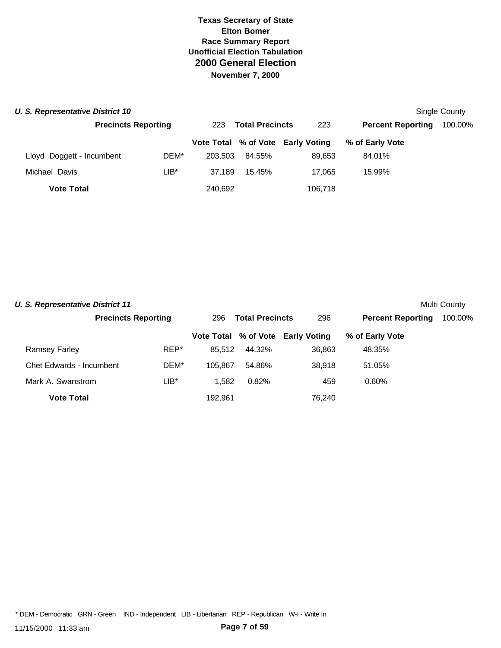| U. S. Representative District 10 |                            |         |                               |                                   |                          | Single County |
|----------------------------------|----------------------------|---------|-------------------------------|-----------------------------------|--------------------------|---------------|
|                                  | <b>Precincts Reporting</b> |         | <b>Total Precincts</b><br>223 |                                   | <b>Percent Reporting</b> | 100.00%       |
|                                  |                            |         |                               | Vote Total % of Vote Early Voting | % of Early Vote          |               |
| Lloyd Doggett - Incumbent        | DEM*                       | 203.503 | 84.55%                        | 89.653                            | 84.01%                   |               |
| Michael Davis                    | LIB*                       | 37.189  | 15.45%                        | 17.065                            | 15.99%                   |               |
| <b>Vote Total</b>                |                            | 240,692 |                               | 106,718                           |                          |               |

| <b>U. S. Representative District 11</b> |                            |         |                        |                                   |                          | Multi County |
|-----------------------------------------|----------------------------|---------|------------------------|-----------------------------------|--------------------------|--------------|
|                                         | <b>Precincts Reporting</b> | 296     | <b>Total Precincts</b> |                                   | <b>Percent Reporting</b> | 100.00%      |
|                                         |                            |         |                        | Vote Total % of Vote Early Voting | % of Early Vote          |              |
| <b>Ramsey Farley</b>                    | REP*                       | 85.512  | 44.32%                 | 36.863                            | 48.35%                   |              |
| Chet Edwards - Incumbent                | DEM*                       | 105.867 | 54.86%                 | 38.918                            | 51.05%                   |              |
| Mark A. Swanstrom                       | LIB*                       | 1.582   | 0.82%                  | 459                               | 0.60%                    |              |
| <b>Vote Total</b>                       |                            | 192.961 |                        | 76.240                            |                          |              |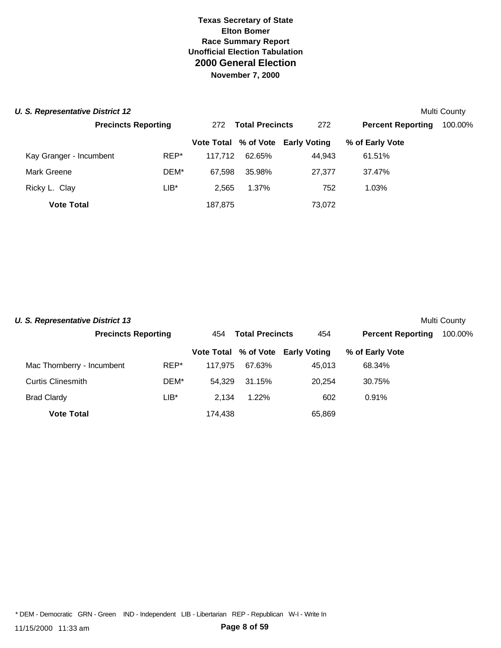| <b>U. S. Representative District 12</b> |                            |                               |        |                                   |                          | Multi County |
|-----------------------------------------|----------------------------|-------------------------------|--------|-----------------------------------|--------------------------|--------------|
|                                         | <b>Precincts Reporting</b> | <b>Total Precincts</b><br>272 |        | 272                               | <b>Percent Reporting</b> | 100.00%      |
|                                         |                            |                               |        | Vote Total % of Vote Early Voting | % of Early Vote          |              |
| Kay Granger - Incumbent                 | REP*                       | 117.712                       | 62.65% | 44,943                            | 61.51%                   |              |
| Mark Greene                             | DEM*                       | 67.598                        | 35.98% | 27,377                            | 37.47%                   |              |
| Ricky L. Clay                           | $LIB*$                     | 2.565                         | 1.37%  | 752                               | 1.03%                    |              |
| <b>Vote Total</b>                       |                            | 187,875                       |        | 73,072                            |                          |              |

| U. S. Representative District 13 |                            |      |                               |        |                                   |                          | Multi County |
|----------------------------------|----------------------------|------|-------------------------------|--------|-----------------------------------|--------------------------|--------------|
|                                  | <b>Precincts Reporting</b> |      | <b>Total Precincts</b><br>454 |        | 454                               | <b>Percent Reporting</b> | 100.00%      |
|                                  |                            |      |                               |        | Vote Total % of Vote Early Voting | % of Early Vote          |              |
| Mac Thornberry - Incumbent       |                            | REP* | 117.975                       | 67.63% | 45.013                            | 68.34%                   |              |
| <b>Curtis Clinesmith</b>         |                            | DEM* | 54.329                        | 31.15% | 20.254                            | 30.75%                   |              |
| <b>Brad Clardy</b>               |                            | LIB* | 2.134                         | 1.22%  | 602                               | 0.91%                    |              |
| <b>Vote Total</b>                |                            |      | 174.438                       |        | 65,869                            |                          |              |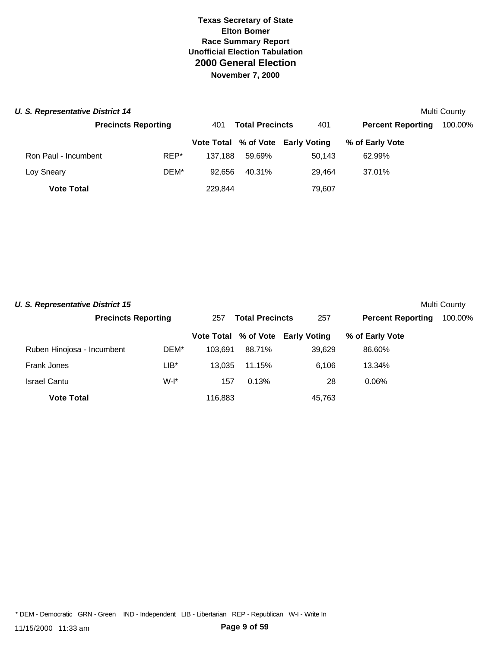| <b>U. S. Representative District 14</b> |                            |      |                               |        |                                   |                          | Multi County |
|-----------------------------------------|----------------------------|------|-------------------------------|--------|-----------------------------------|--------------------------|--------------|
|                                         | <b>Precincts Reporting</b> |      | <b>Total Precincts</b><br>401 |        | 401                               | <b>Percent Reporting</b> | 100.00%      |
|                                         |                            |      |                               |        | Vote Total % of Vote Early Voting | % of Early Vote          |              |
| Ron Paul - Incumbent                    |                            | REP* | 137.188                       | 59.69% | 50.143                            | 62.99%                   |              |
| Loy Sneary                              |                            | DEM* | 92.656                        | 40.31% | 29.464                            | 37.01%                   |              |
| <b>Vote Total</b>                       |                            |      | 229,844                       |        | 79,607                            |                          |              |

| <b>U. S. Representative District 15</b> |                            |         |                               |        |                                   |                          | <b>Multi County</b> |
|-----------------------------------------|----------------------------|---------|-------------------------------|--------|-----------------------------------|--------------------------|---------------------|
|                                         | <b>Precincts Reporting</b> |         | <b>Total Precincts</b><br>257 |        | 257                               | <b>Percent Reporting</b> | 100.00%             |
|                                         |                            |         |                               |        | Vote Total % of Vote Early Voting | % of Early Vote          |                     |
| Ruben Hinojosa - Incumbent              |                            | DEM*    | 103.691                       | 88.71% | 39.629                            | 86.60%                   |                     |
| Frank Jones                             |                            | LIB*    | 13.035                        | 11.15% | 6.106                             | 13.34%                   |                     |
| <b>Israel Cantu</b>                     |                            | $W-I^*$ | 157                           | 0.13%  | 28                                | $0.06\%$                 |                     |
| <b>Vote Total</b>                       |                            |         | 116.883                       |        | 45.763                            |                          |                     |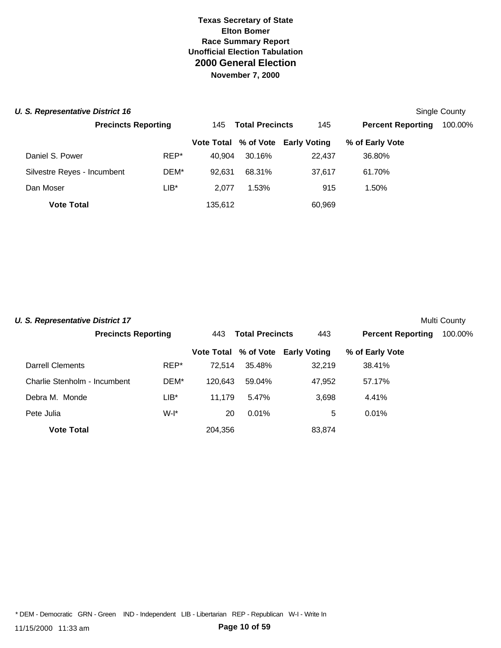#### **U. S. Representative District 16** Single County of the state of the state of the state of the state of the state of the state of the state of the state of the state of the state of the state of the state of the state of t

|                             | <b>Precincts Reporting</b> |         | <b>Total Precincts</b> | 145                               | <b>Percent Reporting</b> | 100.00% |
|-----------------------------|----------------------------|---------|------------------------|-----------------------------------|--------------------------|---------|
|                             |                            |         |                        | Vote Total % of Vote Early Voting | % of Early Vote          |         |
| Daniel S. Power             | REP*                       | 40.904  | 30.16%                 | 22.437                            | 36.80%                   |         |
| Silvestre Reyes - Incumbent | DEM*                       | 92.631  | 68.31%                 | 37.617                            | 61.70%                   |         |
| Dan Moser                   | $LIB^*$                    | 2.077   | 1.53%                  | 915                               | 1.50%                    |         |
| <b>Vote Total</b>           |                            | 135,612 |                        | 60,969                            |                          |         |

| <b>U. S. Representative District 17</b> |                            |         |                               |        |                                   |                          | Multi County |
|-----------------------------------------|----------------------------|---------|-------------------------------|--------|-----------------------------------|--------------------------|--------------|
|                                         | <b>Precincts Reporting</b> |         | <b>Total Precincts</b><br>443 |        | 443                               | <b>Percent Reporting</b> | 100.00%      |
|                                         |                            |         |                               |        | Vote Total % of Vote Early Voting | % of Early Vote          |              |
| Darrell Clements                        |                            | REP*    | 72.514                        | 35.48% | 32,219                            | 38.41%                   |              |
| Charlie Stenholm - Incumbent            |                            | DEM*    | 120.643                       | 59.04% | 47,952                            | 57.17%                   |              |
| Debra M. Monde                          |                            | $LIB^*$ | 11.179                        | 5.47%  | 3,698                             | 4.41%                    |              |
| Pete Julia                              |                            | W-I*    | 20                            | 0.01%  | 5                                 | 0.01%                    |              |
| <b>Vote Total</b>                       |                            |         | 204.356                       |        | 83,874                            |                          |              |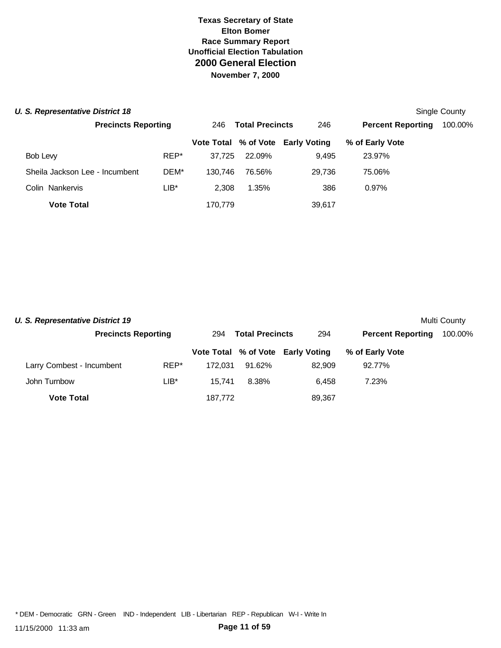#### **U. S. Representative District 18** Single County

|                                |                            |         |                               |                                   |                          | <b>UILIYIU UUULILY</b> |
|--------------------------------|----------------------------|---------|-------------------------------|-----------------------------------|--------------------------|------------------------|
|                                | <b>Precincts Reporting</b> |         | <b>Total Precincts</b><br>246 |                                   | <b>Percent Reporting</b> | 100.00%                |
|                                |                            |         |                               | Vote Total % of Vote Early Voting | % of Early Vote          |                        |
| Bob Levy                       | REP*                       | 37.725  | 22.09%                        | 9,495                             | 23.97%                   |                        |
| Sheila Jackson Lee - Incumbent | DEM*                       | 130.746 | 76.56%                        | 29.736                            | 75.06%                   |                        |
| Colin Nankervis                | LIB*                       | 2.308   | 1.35%                         | 386                               | 0.97%                    |                        |
| <b>Vote Total</b>              |                            | 170,779 |                               | 39,617                            |                          |                        |

| <b>U. S. Representative District 19</b> |                            |         |                               |                                   |                          | Multi County |
|-----------------------------------------|----------------------------|---------|-------------------------------|-----------------------------------|--------------------------|--------------|
|                                         | <b>Precincts Reporting</b> |         | <b>Total Precincts</b><br>294 |                                   | <b>Percent Reporting</b> | 100.00%      |
|                                         |                            |         |                               | Vote Total % of Vote Early Voting | % of Early Vote          |              |
| Larry Combest - Incumbent               | REP*                       | 172.031 | 91.62%                        | 82.909                            | 92.77%                   |              |
| John Turnbow                            | LIB*                       | 15.741  | 8.38%                         | 6.458                             | 7.23%                    |              |
| <b>Vote Total</b>                       |                            | 187.772 |                               | 89,367                            |                          |              |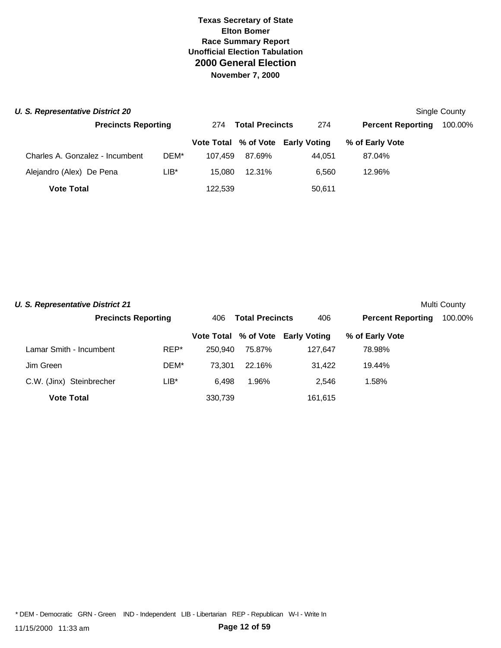| <b>U. S. Representative District 20</b> |                            |         |                               |                                   |                          | Single County |
|-----------------------------------------|----------------------------|---------|-------------------------------|-----------------------------------|--------------------------|---------------|
|                                         | <b>Precincts Reporting</b> |         | <b>Total Precincts</b><br>274 |                                   | <b>Percent Reporting</b> | 100.00%       |
|                                         |                            |         |                               | Vote Total % of Vote Early Voting | % of Early Vote          |               |
| Charles A. Gonzalez - Incumbent         | DEM*                       | 107.459 | 87.69%                        | 44.051                            | 87.04%                   |               |
| Alejandro (Alex) De Pena                | LIB*                       | 15.080  | 12.31%                        | 6.560                             | 12.96%                   |               |
| <b>Vote Total</b>                       |                            | 122,539 |                               | 50,611                            |                          |               |

| <b>U. S. Representative District 21</b> |                            |      |                               |        |                                   |                          | Multi County |
|-----------------------------------------|----------------------------|------|-------------------------------|--------|-----------------------------------|--------------------------|--------------|
|                                         | <b>Precincts Reporting</b> |      | <b>Total Precincts</b><br>406 |        | 406                               | <b>Percent Reporting</b> | 100.00%      |
|                                         |                            |      |                               |        | Vote Total % of Vote Early Voting | % of Early Vote          |              |
| Lamar Smith - Incumbent                 |                            | REP* | 250.940                       | 75.87% | 127.647                           | 78.98%                   |              |
| Jim Green                               |                            | DEM* | 73.301                        | 22.16% | 31,422                            | 19.44%                   |              |
| C.W. (Jinx) Steinbrecher                |                            | LIB* | 6.498                         | 1.96%  | 2.546                             | 1.58%                    |              |
| <b>Vote Total</b>                       |                            |      | 330.739                       |        | 161,615                           |                          |              |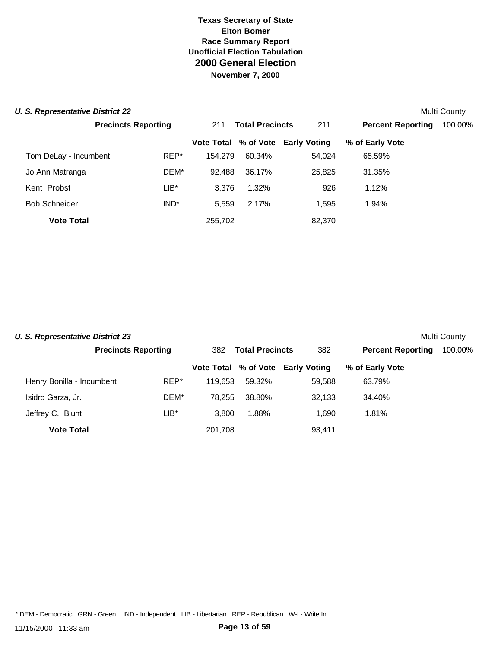| U. S. Representative District 22 |                            |         |                               |                                   |                          | Multi County |
|----------------------------------|----------------------------|---------|-------------------------------|-----------------------------------|--------------------------|--------------|
|                                  | <b>Precincts Reporting</b> |         | <b>Total Precincts</b><br>211 |                                   | <b>Percent Reporting</b> | 100.00%      |
|                                  |                            |         |                               | Vote Total % of Vote Early Voting | % of Early Vote          |              |
| Tom DeLay - Incumbent            | REP*                       | 154.279 | 60.34%                        | 54,024                            | 65.59%                   |              |
| Jo Ann Matranga                  | DEM*                       | 92.488  | 36.17%                        | 25,825                            | 31.35%                   |              |
| Kent Probst                      | $LIB^*$                    | 3.376   | 1.32%                         | 926                               | 1.12%                    |              |
| <b>Bob Schneider</b>             | IND <sup>*</sup>           | 5.559   | 2.17%                         | 1.595                             | 1.94%                    |              |
| <b>Vote Total</b>                |                            | 255,702 |                               | 82,370                            |                          |              |

| <b>U. S. Representative District 23</b> |                            |      |                               |        |                                   |                          | Multi County |
|-----------------------------------------|----------------------------|------|-------------------------------|--------|-----------------------------------|--------------------------|--------------|
|                                         | <b>Precincts Reporting</b> |      | <b>Total Precincts</b><br>382 |        | 382                               | <b>Percent Reporting</b> | 100.00%      |
|                                         |                            |      |                               |        | Vote Total % of Vote Early Voting | % of Early Vote          |              |
| Henry Bonilla - Incumbent               |                            | REP* | 119.653                       | 59.32% | 59,588                            | 63.79%                   |              |
| Isidro Garza, Jr.                       |                            | DEM* | 78.255                        | 38.80% | 32,133                            | 34.40%                   |              |
| Jeffrey C. Blunt                        |                            | LIB* | 3.800                         | 1.88%  | 1.690                             | 1.81%                    |              |
| <b>Vote Total</b>                       |                            |      | 201,708                       |        | 93,411                            |                          |              |

\* DEM - Democratic GRN - Green IND - Independent LIB - Libertarian REP - Republican W-I - Write In

11/15/2000 11:33 am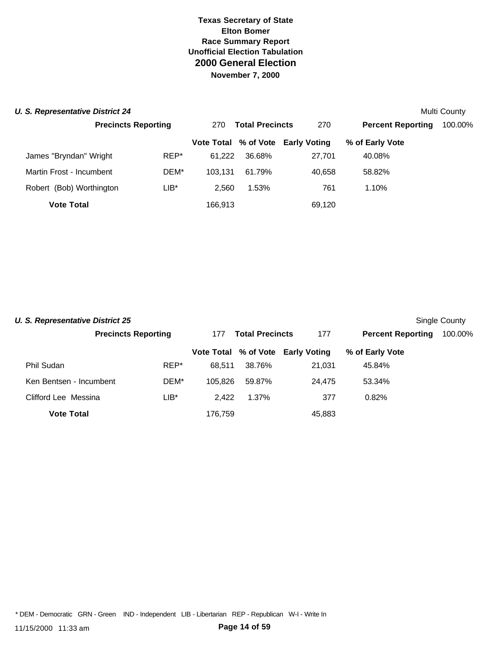|  |  | <b>U. S. Representative District 24</b> |  |  |
|--|--|-----------------------------------------|--|--|
|  |  |                                         |  |  |

| <b>U. S. Representative District 24</b> |                            |         |                               |                                   |                          | Multi County |
|-----------------------------------------|----------------------------|---------|-------------------------------|-----------------------------------|--------------------------|--------------|
|                                         | <b>Precincts Reporting</b> |         | <b>Total Precincts</b><br>270 |                                   | <b>Percent Reporting</b> | 100.00%      |
|                                         |                            |         |                               | Vote Total % of Vote Early Voting | % of Early Vote          |              |
| James "Bryndan" Wright                  | REP*                       | 61.222  | 36.68%                        | 27,701                            | 40.08%                   |              |
| Martin Frost - Incumbent                | DEM*                       | 103.131 | 61.79%                        | 40.658                            | 58.82%                   |              |
| Robert (Bob) Worthington                | LIB*                       | 2.560   | 1.53%                         | 761                               | 1.10%                    |              |
| <b>Vote Total</b>                       |                            | 166,913 |                               | 69,120                            |                          |              |

| <b>U. S. Representative District 25</b><br>Single County |                            |         |                        |                                   |                          |         |  |  |  |  |  |
|----------------------------------------------------------|----------------------------|---------|------------------------|-----------------------------------|--------------------------|---------|--|--|--|--|--|
|                                                          | <b>Precincts Reporting</b> | 177     | <b>Total Precincts</b> |                                   | <b>Percent Reporting</b> | 100.00% |  |  |  |  |  |
|                                                          |                            |         |                        | Vote Total % of Vote Early Voting | % of Early Vote          |         |  |  |  |  |  |
| Phil Sudan                                               | REP*                       | 68.511  | 38.76%                 | 21.031                            | 45.84%                   |         |  |  |  |  |  |
| Ken Bentsen - Incumbent                                  | DEM*                       | 105.826 | 59.87%                 | 24.475                            | 53.34%                   |         |  |  |  |  |  |
| Clifford Lee Messina                                     | $LIB*$                     | 2.422   | 1.37%                  | 377                               | 0.82%                    |         |  |  |  |  |  |
| <b>Vote Total</b>                                        |                            | 176.759 |                        | 45,883                            |                          |         |  |  |  |  |  |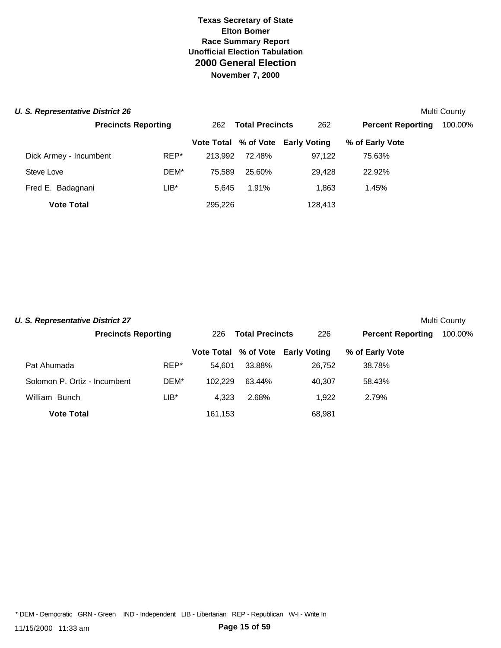#### **U. S. Representative District 26** Multi County of the state of the state of the state of the state of the state of the state of the state of the state of the state of the state of the state of the state of the state of th

| <b>U. RUDI COURTURE DISTINCTED</b> |                            |         |                               |                                   |                          | <b>IVIUILI OUUIILY</b> |
|------------------------------------|----------------------------|---------|-------------------------------|-----------------------------------|--------------------------|------------------------|
|                                    | <b>Precincts Reporting</b> |         | <b>Total Precincts</b><br>262 |                                   | <b>Percent Reporting</b> | 100.00%                |
|                                    |                            |         |                               | Vote Total % of Vote Early Voting | % of Early Vote          |                        |
| Dick Armey - Incumbent             | REP*                       | 213.992 | 72.48%                        | 97.122                            | 75.63%                   |                        |
| Steve Love                         | DEM*                       | 75.589  | 25.60%                        | 29.428                            | 22.92%                   |                        |
| Fred E. Badagnani                  | $LIB^*$                    | 5.645   | 1.91%                         | 1.863                             | 1.45%                    |                        |
| <b>Vote Total</b>                  |                            | 295,226 |                               | 128,413                           |                          |                        |

| <b>U. S. Representative District 27</b><br>Multi County |                            |      |                               |        |                                   |                          |         |  |  |  |  |
|---------------------------------------------------------|----------------------------|------|-------------------------------|--------|-----------------------------------|--------------------------|---------|--|--|--|--|
|                                                         | <b>Precincts Reporting</b> |      | <b>Total Precincts</b><br>226 |        | 226                               | <b>Percent Reporting</b> | 100.00% |  |  |  |  |
|                                                         |                            |      |                               |        | Vote Total % of Vote Early Voting | % of Early Vote          |         |  |  |  |  |
| Pat Ahumada                                             |                            | REP* | 54.601                        | 33.88% | 26,752                            | 38.78%                   |         |  |  |  |  |
| Solomon P. Ortiz - Incumbent                            |                            | DEM* | 102.229                       | 63.44% | 40.307                            | 58.43%                   |         |  |  |  |  |
| William Bunch                                           |                            | LIB* | 4.323                         | 2.68%  | 1.922                             | 2.79%                    |         |  |  |  |  |
| <b>Vote Total</b>                                       |                            |      | 161,153                       |        | 68,981                            |                          |         |  |  |  |  |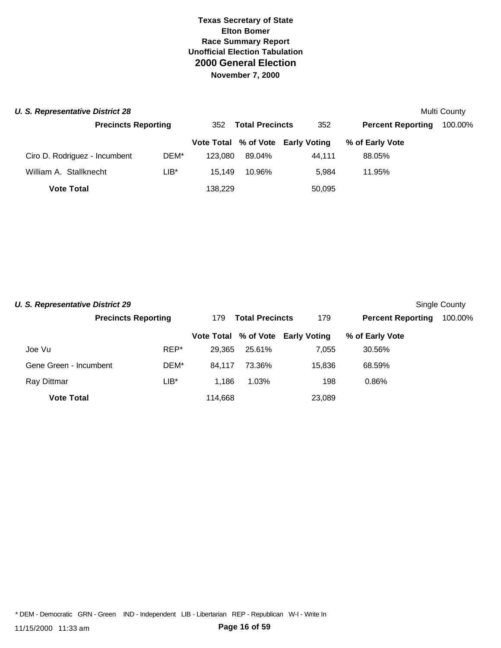| U. S. Representative District 28 |                            |         |                               |        |                                   |                          | Multi County |
|----------------------------------|----------------------------|---------|-------------------------------|--------|-----------------------------------|--------------------------|--------------|
|                                  | <b>Precincts Reporting</b> |         | <b>Total Precincts</b><br>352 |        | 352                               | <b>Percent Reporting</b> | 100.00%      |
|                                  |                            |         |                               |        | Vote Total % of Vote Early Voting | % of Early Vote          |              |
| Ciro D. Rodriguez - Incumbent    |                            | DEM*    | 123.080                       | 89.04% | 44.111                            | 88.05%                   |              |
| William A. Stallknecht           |                            | $LIB^*$ | 15.149                        | 10.96% | 5.984                             | 11.95%                   |              |
| <b>Vote Total</b>                |                            |         | 138,229                       |        | 50,095                            |                          |              |

| <b>U. S. Representative District 29</b> |                            |      |                               |        |                                   |                          | Single County |
|-----------------------------------------|----------------------------|------|-------------------------------|--------|-----------------------------------|--------------------------|---------------|
|                                         | <b>Precincts Reporting</b> |      | <b>Total Precincts</b><br>179 |        | 179                               | <b>Percent Reporting</b> | 100.00%       |
|                                         |                            |      |                               |        | Vote Total % of Vote Early Voting | % of Early Vote          |               |
| Joe Vu                                  |                            | REP* | 29.365                        | 25.61% | 7.055                             | 30.56%                   |               |
| Gene Green - Incumbent                  |                            | DEM* | 84.117                        | 73.36% | 15.836                            | 68.59%                   |               |
| Ray Dittmar                             |                            | LIB* | 1.186                         | 1.03%  | 198                               | 0.86%                    |               |
| <b>Vote Total</b>                       |                            |      | 114.668                       |        | 23.089                            |                          |               |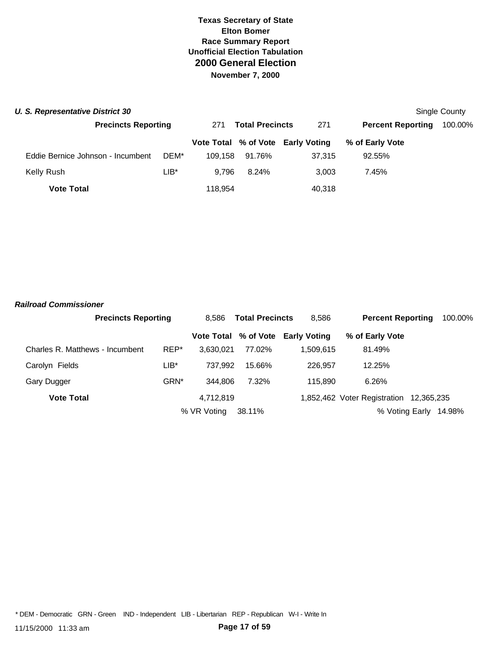|  | U. S. Representative District 30 |  |
|--|----------------------------------|--|
|  |                                  |  |

| U. S. Representative District 30  |                            |         |                               |                                   |                          | Single County |
|-----------------------------------|----------------------------|---------|-------------------------------|-----------------------------------|--------------------------|---------------|
|                                   | <b>Precincts Reporting</b> |         | <b>Total Precincts</b><br>271 |                                   | <b>Percent Reporting</b> | 100.00%       |
|                                   |                            |         |                               | Vote Total % of Vote Early Voting | % of Early Vote          |               |
| Eddie Bernice Johnson - Incumbent | DEM*                       | 109.158 | 91.76%                        | 37.315                            | 92.55%                   |               |
| Kelly Rush                        | $LIB*$                     | 9.796   | 8.24%                         | 3.003                             | 7.45%                    |               |
| <b>Vote Total</b>                 |                            | 118,954 |                               | 40,318                            |                          |               |

#### *Railroad Commissioner*

|                                 | <b>Precincts Reporting</b> |                  | <b>Total Precincts</b><br>8.586 |        | 8.586                             | <b>Percent Reporting</b>                | 100.00% |
|---------------------------------|----------------------------|------------------|---------------------------------|--------|-----------------------------------|-----------------------------------------|---------|
|                                 |                            |                  |                                 |        | Vote Total % of Vote Early Voting | % of Early Vote                         |         |
| Charles R. Matthews - Incumbent |                            | REP*             | 3.630.021                       | 77.02% | 1.509.615                         | 81.49%                                  |         |
| Carolyn Fields                  |                            | $LIB*$           | 737.992                         | 15.66% | 226.957                           | 12.25%                                  |         |
| Gary Dugger                     |                            | GRN <sup>*</sup> | 344.806                         | 7.32%  | 115.890                           | 6.26%                                   |         |
| <b>Vote Total</b>               |                            |                  | 4,712,819                       |        |                                   | 1,852,462 Voter Registration 12,365,235 |         |
|                                 |                            |                  | % VR Voting                     | 38.11% |                                   | % Voting Early                          | 14.98%  |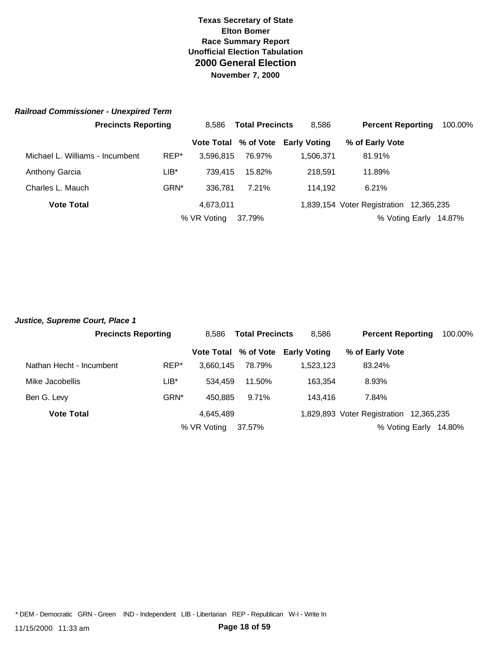#### *Railroad Commissioner - Unexpired Term*

|                                 | <b>Precincts Reporting</b> |                  | 8.586             | <b>Total Precincts</b> |                        | <b>Percent Reporting</b>                | 100.00% |
|---------------------------------|----------------------------|------------------|-------------------|------------------------|------------------------|-----------------------------------------|---------|
|                                 |                            |                  | <b>Vote Total</b> |                        | % of Vote Early Voting | % of Early Vote                         |         |
| Michael L. Williams - Incumbent |                            | REP*             | 3.596.815         | 76.97%                 | 1.506.371              | 81.91%                                  |         |
| <b>Anthony Garcia</b>           |                            | LIB*             | 739.415           | 15.82%                 | 218.591                | 11.89%                                  |         |
| Charles L. Mauch                |                            | GRN <sup>*</sup> | 336.781           | 7.21%                  | 114.192                | 6.21%                                   |         |
| <b>Vote Total</b>               |                            |                  | 4,673,011         |                        |                        | 1,839,154 Voter Registration 12,365,235 |         |
|                                 |                            |                  | % VR Voting       | 37.79%                 |                        | % Voting Early                          | 14.87%  |

| Justice, Supreme Court, Place 1 |                            |                   |                                 |                     |                                         |        |         |
|---------------------------------|----------------------------|-------------------|---------------------------------|---------------------|-----------------------------------------|--------|---------|
|                                 | <b>Precincts Reporting</b> |                   | <b>Total Precincts</b><br>8.586 |                     | <b>Percent Reporting</b>                |        | 100.00% |
|                                 |                            | <b>Vote Total</b> | % of Vote                       | <b>Early Voting</b> | % of Early Vote                         |        |         |
| Nathan Hecht - Incumbent        | REP*                       | 3.660.145         | 78.79%                          | 1,523,123           | 83.24%                                  |        |         |
| Mike Jacobellis                 | $LIB*$                     | 534.459           | 11.50%                          | 163.354             | 8.93%                                   |        |         |
| Ben G. Levy                     | GRN <sup>*</sup>           | 450.885           | 9.71%                           | 143.416             | 7.84%                                   |        |         |
| <b>Vote Total</b>               |                            | 4,645,489         |                                 |                     | 1,829,893 Voter Registration 12,365,235 |        |         |
|                                 |                            | % VR Voting       | 37.57%                          |                     | % Voting Early                          | 14.80% |         |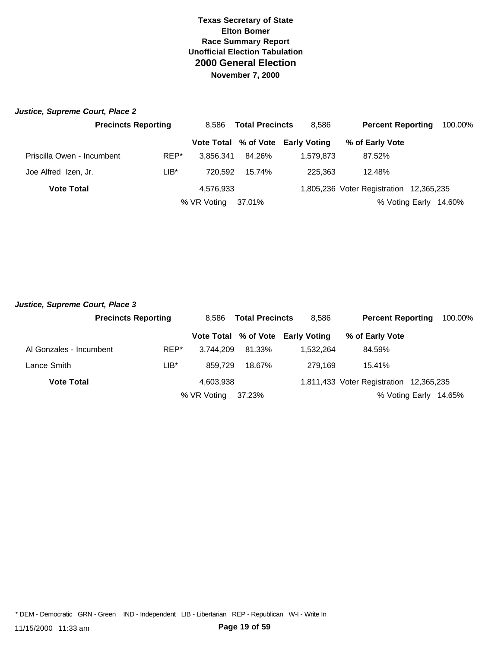| Justice, Supreme Court, Place 2 |                            |                                 |        |                                   |                                         |         |
|---------------------------------|----------------------------|---------------------------------|--------|-----------------------------------|-----------------------------------------|---------|
|                                 | <b>Precincts Reporting</b> | <b>Total Precincts</b><br>8.586 |        | 8,586                             | <b>Percent Reporting</b>                | 100.00% |
|                                 |                            |                                 |        | Vote Total % of Vote Early Voting | % of Early Vote                         |         |
| Priscilla Owen - Incumbent      | REP*                       | 3.856.341                       | 84.26% | 1.579.873                         | 87.52%                                  |         |
| Joe Alfred Izen, Jr.            | $LIB*$                     | 720.592                         | 15.74% | 225,363                           | 12.48%                                  |         |
| <b>Vote Total</b>               |                            | 4.576.933                       |        |                                   | 1,805,236 Voter Registration 12,365,235 |         |
|                                 |                            | % VR Voting                     | 37.01% |                                   | % Voting Early                          | 14.60%  |

| Justice, Supreme Court, Place 3 |                            |             |                                 |                                   |                                         |                       |         |
|---------------------------------|----------------------------|-------------|---------------------------------|-----------------------------------|-----------------------------------------|-----------------------|---------|
|                                 | <b>Precincts Reporting</b> |             | <b>Total Precincts</b><br>8.586 |                                   | <b>Percent Reporting</b>                |                       | 100.00% |
|                                 |                            |             |                                 | Vote Total % of Vote Early Voting | % of Early Vote                         |                       |         |
| Al Gonzales - Incumbent         | REP*                       | 3.744.209   | 81.33%                          | 1.532.264                         | 84.59%                                  |                       |         |
| Lance Smith                     | LIB*                       | 859.729     | 18.67%                          | 279.169                           | 15.41%                                  |                       |         |
| <b>Vote Total</b>               |                            | 4,603,938   |                                 |                                   | 1,811,433 Voter Registration 12,365,235 |                       |         |
|                                 |                            | % VR Voting | 37.23%                          |                                   |                                         | % Voting Early 14.65% |         |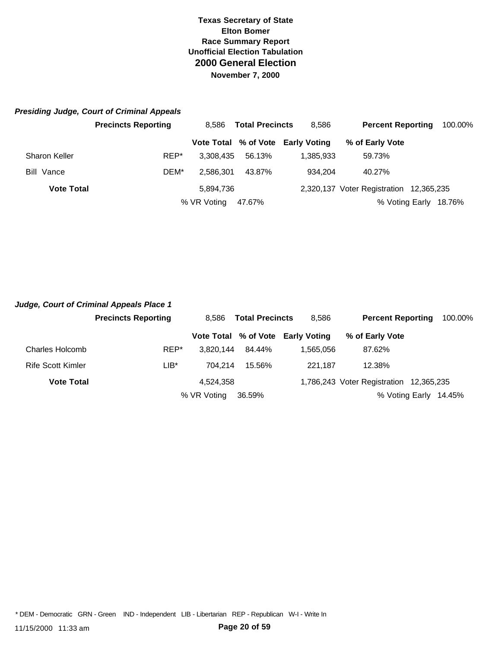# *Presiding Judge, Court of Criminal Appeals*

|                      | <b>Precincts Reporting</b> | <b>Total Precincts</b><br>8.586 |        | 8,586                             | <b>Percent Reporting</b>                | 100.00% |
|----------------------|----------------------------|---------------------------------|--------|-----------------------------------|-----------------------------------------|---------|
|                      |                            |                                 |        | Vote Total % of Vote Early Voting | % of Early Vote                         |         |
| <b>Sharon Keller</b> | REP*                       | 3.308.435                       | 56.13% | 1.385.933                         | 59.73%                                  |         |
| Bill Vance           | DEM*                       | 2.586.301                       | 43.87% | 934.204                           | 40.27%                                  |         |
| <b>Vote Total</b>    |                            | 5,894,736                       |        |                                   | 2,320,137 Voter Registration 12,365,235 |         |
|                      |                            | % VR Voting                     | 47.67% |                                   | % Voting Early                          | 18.76%  |

|                   | Judge, Court of Criminal Appeals Place 1 |             |                        |                                   |                                         |        |         |
|-------------------|------------------------------------------|-------------|------------------------|-----------------------------------|-----------------------------------------|--------|---------|
|                   | <b>Precincts Reporting</b>               | 8.586       | <b>Total Precincts</b> |                                   | <b>Percent Reporting</b>                |        | 100.00% |
|                   |                                          |             |                        | Vote Total % of Vote Early Voting | % of Early Vote                         |        |         |
| Charles Holcomb   | REP*                                     | 3.820.144   | 84.44%                 | 1.565.056                         | 87.62%                                  |        |         |
| Rife Scott Kimler | LIB*                                     | 704.214     | 15.56%                 | 221.187                           | 12.38%                                  |        |         |
| <b>Vote Total</b> |                                          | 4.524.358   |                        |                                   | 1,786,243 Voter Registration 12,365,235 |        |         |
|                   |                                          | % VR Voting | 36.59%                 |                                   | % Voting Early                          | 14.45% |         |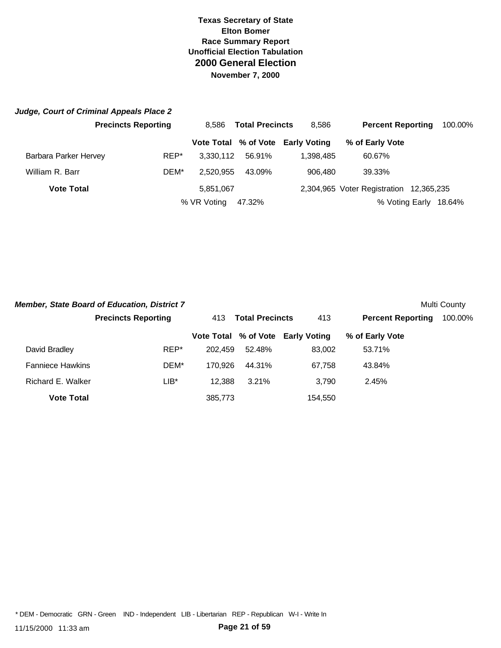|                       | Judge, Court of Criminal Appeals Place 2 |                                 |        |                                   |                                         |         |
|-----------------------|------------------------------------------|---------------------------------|--------|-----------------------------------|-----------------------------------------|---------|
|                       | <b>Precincts Reporting</b>               | <b>Total Precincts</b><br>8.586 |        | 8,586                             | <b>Percent Reporting</b>                | 100.00% |
|                       |                                          |                                 |        | Vote Total % of Vote Early Voting | % of Early Vote                         |         |
| Barbara Parker Hervey | REP*                                     | 3.330.112                       | 56.91% | 1.398.485                         | 60.67%                                  |         |
| William R. Barr       | DEM*                                     | 2.520.955                       | 43.09% | 906.480                           | 39.33%                                  |         |
| <b>Vote Total</b>     |                                          | 5,851,067                       |        |                                   | 2,304,965 Voter Registration 12,365,235 |         |
|                       |                                          | % VR Voting                     | 47.32% |                                   | % Voting Early                          | 18.64%  |

|                         | <b>Member, State Board of Education, District 7</b> |                               |        |                                   |                          | Multi County |
|-------------------------|-----------------------------------------------------|-------------------------------|--------|-----------------------------------|--------------------------|--------------|
|                         | <b>Precincts Reporting</b>                          | <b>Total Precincts</b><br>413 |        | 413                               | <b>Percent Reporting</b> | 100.00%      |
|                         |                                                     |                               |        | Vote Total % of Vote Early Voting | % of Early Vote          |              |
| David Bradley           | REP*                                                | 202.459                       | 52.48% | 83.002                            | 53.71%                   |              |
| <b>Fanniece Hawkins</b> | DEM*                                                | 170.926                       | 44.31% | 67,758                            | 43.84%                   |              |
| Richard E. Walker       | LIB*                                                | 12.388                        | 3.21%  | 3.790                             | 2.45%                    |              |
| <b>Vote Total</b>       |                                                     | 385,773                       |        | 154.550                           |                          |              |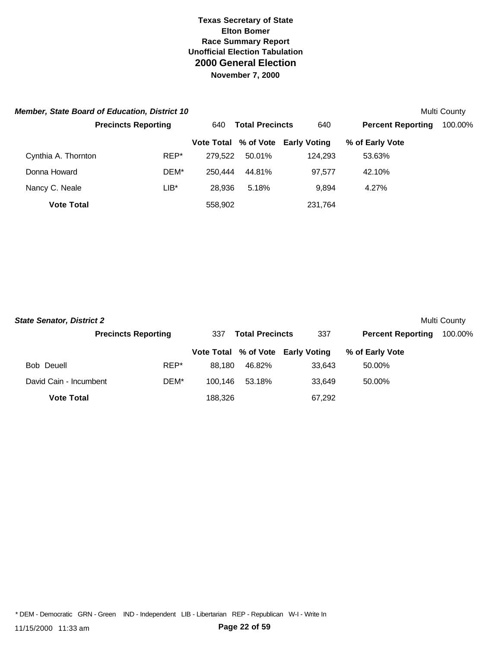|                     | <b>Member, State Board of Education, District 10</b> |                               | Multi County |                                   |                          |         |
|---------------------|------------------------------------------------------|-------------------------------|--------------|-----------------------------------|--------------------------|---------|
|                     | <b>Precincts Reporting</b>                           | <b>Total Precincts</b><br>640 |              | 640                               | <b>Percent Reporting</b> | 100.00% |
|                     |                                                      |                               |              | Vote Total % of Vote Early Voting | % of Early Vote          |         |
| Cynthia A. Thornton | REP*                                                 | 279.522                       | 50.01%       | 124.293                           | 53.63%                   |         |
| Donna Howard        | DEM*                                                 | 250,444                       | 44.81%       | 97.577                            | 42.10%                   |         |
| Nancy C. Neale      | LIB*                                                 | 28.936                        | 5.18%        | 9.894                             | 4.27%                    |         |
| <b>Vote Total</b>   |                                                      | 558,902                       |              | 231,764                           |                          |         |

| <b>State Senator, District 2</b> |                            |         |                        |                                   |                          | Multi County |
|----------------------------------|----------------------------|---------|------------------------|-----------------------------------|--------------------------|--------------|
|                                  | <b>Precincts Reporting</b> | 337     | <b>Total Precincts</b> |                                   | <b>Percent Reporting</b> | 100.00%      |
|                                  |                            |         |                        | Vote Total % of Vote Early Voting | % of Early Vote          |              |
| Bob Deuell                       | REP*                       | 88.180  | 46.82%                 | 33.643                            | 50.00%                   |              |
| David Cain - Incumbent           | DEM*                       | 100.146 | 53.18%                 | 33.649                            | 50.00%                   |              |
| <b>Vote Total</b>                |                            | 188,326 |                        | 67,292                            |                          |              |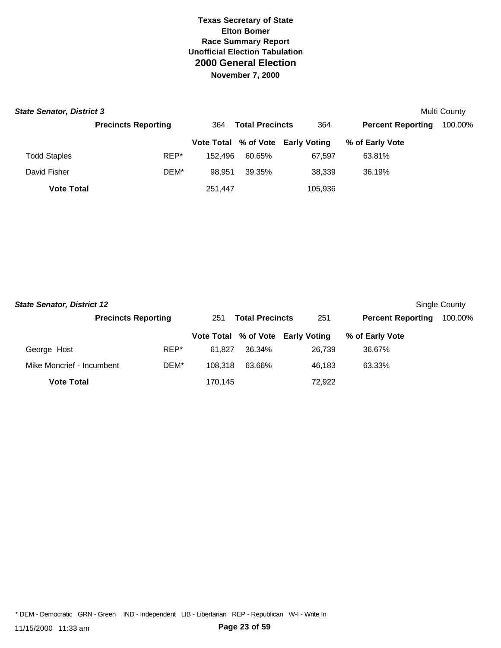| <b>State Senator, District 3</b> |                            |         |                        |                                   | Multi County             |         |
|----------------------------------|----------------------------|---------|------------------------|-----------------------------------|--------------------------|---------|
|                                  | <b>Precincts Reporting</b> | 364     | <b>Total Precincts</b> | 364                               | <b>Percent Reporting</b> | 100.00% |
|                                  |                            |         |                        | Vote Total % of Vote Early Voting | % of Early Vote          |         |
| <b>Todd Staples</b>              | REP*                       | 152.496 | 60.65%                 | 67.597                            | 63.81%                   |         |
| David Fisher                     | DEM*                       | 98.951  | 39.35%                 | 38.339                            | 36.19%                   |         |
| <b>Vote Total</b>                |                            | 251,447 |                        | 105,936                           |                          |         |

| <b>State Senator, District 12</b> |                            |         |                               |                                   |                          | Single County |
|-----------------------------------|----------------------------|---------|-------------------------------|-----------------------------------|--------------------------|---------------|
|                                   | <b>Precincts Reporting</b> |         | <b>Total Precincts</b><br>251 |                                   | <b>Percent Reporting</b> | 100.00%       |
|                                   |                            |         |                               | Vote Total % of Vote Early Voting | % of Early Vote          |               |
| George Host                       | REP*                       | 61.827  | 36.34%                        | 26.739                            | 36.67%                   |               |
| Mike Moncrief - Incumbent         | DEM*                       | 108.318 | 63.66%                        | 46.183                            | 63.33%                   |               |
| <b>Vote Total</b>                 |                            | 170.145 |                               | 72.922                            |                          |               |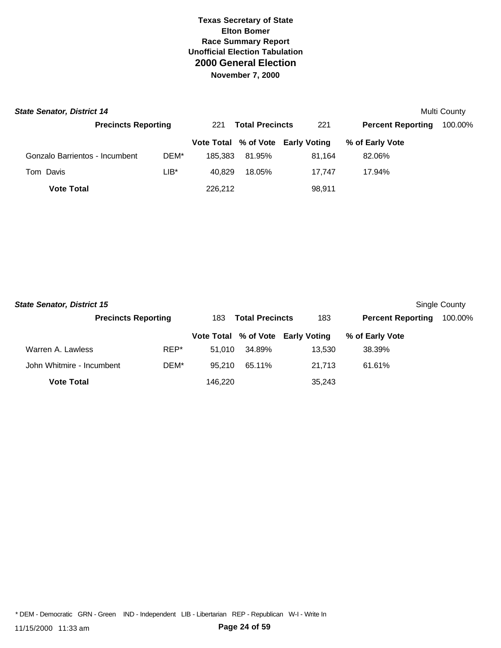| <b>State Senator, District 14</b> |                            |         |                               |                                   |                          | Multi County |
|-----------------------------------|----------------------------|---------|-------------------------------|-----------------------------------|--------------------------|--------------|
|                                   | <b>Precincts Reporting</b> |         | <b>Total Precincts</b><br>221 |                                   | <b>Percent Reporting</b> | 100.00%      |
|                                   |                            |         |                               | Vote Total % of Vote Early Voting | % of Early Vote          |              |
| Gonzalo Barrientos - Incumbent    | DEM*                       | 185.383 | 81.95%                        | 81.164                            | 82.06%                   |              |
| Tom Davis                         | $LIB^*$                    | 40.829  | 18.05%                        | 17.747                            | 17.94%                   |              |
| <b>Vote Total</b>                 |                            | 226.212 |                               | 98,911                            |                          |              |

| <b>State Senator, District 15</b> |                            |         |                               |                                   |                          | Single County |
|-----------------------------------|----------------------------|---------|-------------------------------|-----------------------------------|--------------------------|---------------|
|                                   | <b>Precincts Reporting</b> |         | <b>Total Precincts</b><br>183 |                                   | <b>Percent Reporting</b> | 100.00%       |
|                                   |                            |         |                               | Vote Total % of Vote Early Voting | % of Early Vote          |               |
| Warren A. Lawless                 | REP*                       | 51.010  | 34.89%                        | 13.530                            | 38.39%                   |               |
| John Whitmire - Incumbent         | DEM*                       | 95.210  | 65.11%                        | 21.713                            | 61.61%                   |               |
| <b>Vote Total</b>                 |                            | 146.220 |                               | 35,243                            |                          |               |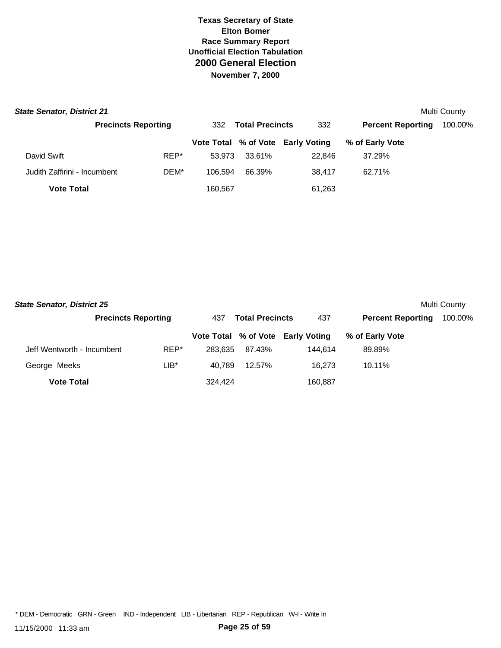| <b>State Senator, District 21</b> |                            |                               |        |                                   |                          | Multi County |
|-----------------------------------|----------------------------|-------------------------------|--------|-----------------------------------|--------------------------|--------------|
|                                   | <b>Precincts Reporting</b> | <b>Total Precincts</b><br>332 |        | 332                               | <b>Percent Reporting</b> | 100.00%      |
|                                   |                            |                               |        | Vote Total % of Vote Early Voting | % of Early Vote          |              |
| David Swift                       | REP*                       | 53.973                        | 33.61% | 22.846                            | 37.29%                   |              |
| Judith Zaffirini - Incumbent      | DEM*                       | 106.594                       | 66.39% | 38.417                            | 62.71%                   |              |
| <b>Vote Total</b>                 |                            | 160,567                       |        | 61,263                            |                          |              |

| <b>State Senator, District 25</b> |                            |         |                               |                                   |                          | Multi County |
|-----------------------------------|----------------------------|---------|-------------------------------|-----------------------------------|--------------------------|--------------|
|                                   | <b>Precincts Reporting</b> |         | <b>Total Precincts</b><br>437 |                                   | <b>Percent Reporting</b> | 100.00%      |
|                                   |                            |         |                               | Vote Total % of Vote Early Voting | % of Early Vote          |              |
| Jeff Wentworth - Incumbent        | REP*                       | 283.635 | 87.43%                        | 144.614                           | 89.89%                   |              |
| George Meeks                      | LIB*                       | 40.789  | 12.57%                        | 16.273                            | 10.11%                   |              |
| <b>Vote Total</b>                 |                            | 324.424 |                               | 160,887                           |                          |              |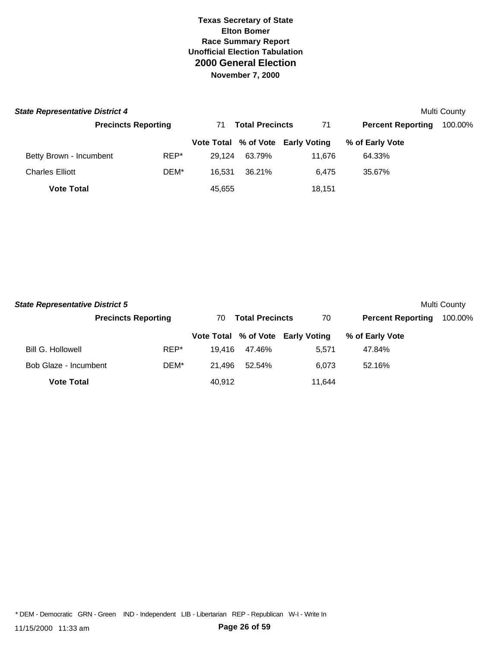| <b>State Representative District 4</b> |                            |        |                              |                                   |                          | Multi County |
|----------------------------------------|----------------------------|--------|------------------------------|-----------------------------------|--------------------------|--------------|
|                                        | <b>Precincts Reporting</b> |        | <b>Total Precincts</b><br>71 |                                   | <b>Percent Reporting</b> | 100.00%      |
|                                        |                            |        |                              | Vote Total % of Vote Early Voting | % of Early Vote          |              |
| Betty Brown - Incumbent                | REP*                       | 29.124 | 63.79%                       | 11.676                            | 64.33%                   |              |
| <b>Charles Elliott</b>                 | DEM*                       | 16.531 | 36.21%                       | 6.475                             | 35.67%                   |              |
| <b>Vote Total</b>                      |                            | 45,655 |                              | 18.151                            |                          |              |

| <b>State Representative District 5</b> |                            |                              |        |                                   |                          | Multi County |
|----------------------------------------|----------------------------|------------------------------|--------|-----------------------------------|--------------------------|--------------|
|                                        | <b>Precincts Reporting</b> | <b>Total Precincts</b><br>70 |        | 70                                | <b>Percent Reporting</b> | 100.00%      |
|                                        |                            |                              |        | Vote Total % of Vote Early Voting | % of Early Vote          |              |
| <b>Bill G. Hollowell</b>               | REP*                       | 19.416                       | 47.46% | 5.571                             | 47.84%                   |              |
| Bob Glaze - Incumbent                  | DEM*                       | 21.496                       | 52.54% | 6.073                             | 52.16%                   |              |
| <b>Vote Total</b>                      |                            | 40.912                       |        | 11,644                            |                          |              |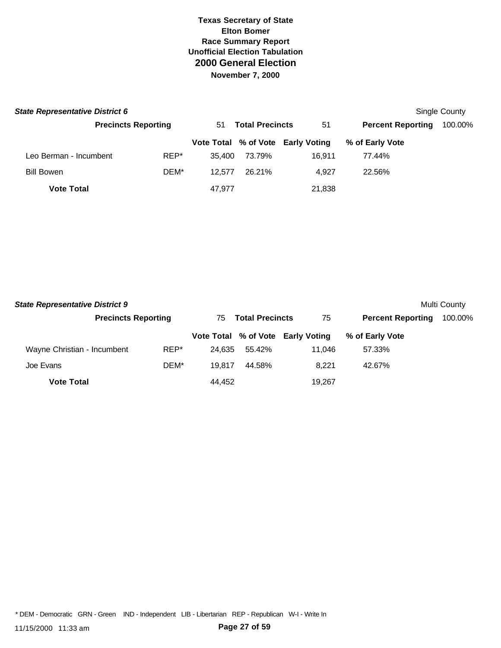| <b>State Representative District 6</b> |                            |      |                              |        |                                   |                          | Single County |
|----------------------------------------|----------------------------|------|------------------------------|--------|-----------------------------------|--------------------------|---------------|
|                                        | <b>Precincts Reporting</b> |      | <b>Total Precincts</b><br>51 |        | 51                                | <b>Percent Reporting</b> | 100.00%       |
|                                        |                            |      |                              |        | Vote Total % of Vote Early Voting | % of Early Vote          |               |
| Leo Berman - Incumbent                 |                            | REP* | 35.400                       | 73.79% | 16.911                            | 77.44%                   |               |
| <b>Bill Bowen</b>                      |                            | DEM* | 12.577                       | 26.21% | 4.927                             | 22.56%                   |               |
| <b>Vote Total</b>                      |                            |      | 47,977                       |        | 21,838                            |                          |               |

| <b>State Representative District 9</b> |                            |        |                               |                                   |                          | Multi County |
|----------------------------------------|----------------------------|--------|-------------------------------|-----------------------------------|--------------------------|--------------|
|                                        | <b>Precincts Reporting</b> |        | <b>Total Precincts</b><br>75. |                                   | <b>Percent Reporting</b> | 100.00%      |
|                                        |                            |        |                               | Vote Total % of Vote Early Voting | % of Early Vote          |              |
| Wayne Christian - Incumbent            | REP*                       | 24.635 | 55.42%                        | 11.046                            | 57.33%                   |              |
| Joe Evans                              | DEM*                       | 19.817 | 44.58%                        | 8.221                             | 42.67%                   |              |
| <b>Vote Total</b>                      |                            | 44.452 |                               | 19,267                            |                          |              |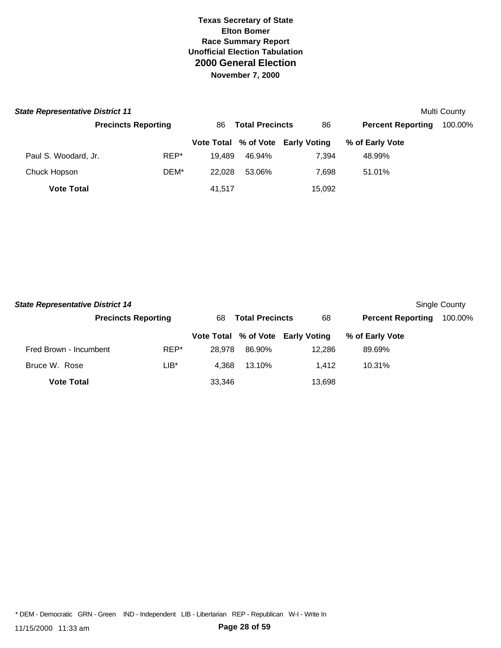| <b>State Representative District 11</b> |                            |        |                        |                                   |                          | Multi County |
|-----------------------------------------|----------------------------|--------|------------------------|-----------------------------------|--------------------------|--------------|
|                                         | <b>Precincts Reporting</b> | 86     | <b>Total Precincts</b> |                                   | <b>Percent Reporting</b> | 100.00%      |
|                                         |                            |        |                        | Vote Total % of Vote Early Voting | % of Early Vote          |              |
| Paul S. Woodard, Jr.                    | REP*                       | 19.489 | 46.94%                 | 7.394                             | 48.99%                   |              |
| Chuck Hopson                            | DEM*                       | 22.028 | 53.06%                 | 7.698                             | 51.01%                   |              |
| <b>Vote Total</b>                       |                            | 41.517 |                        | 15,092                            |                          |              |

| <b>State Representative District 14</b> |                            |        |                              |                                   |                          | Single County |
|-----------------------------------------|----------------------------|--------|------------------------------|-----------------------------------|--------------------------|---------------|
|                                         | <b>Precincts Reporting</b> |        | <b>Total Precincts</b><br>68 |                                   | <b>Percent Reporting</b> | 100.00%       |
|                                         |                            |        |                              | Vote Total % of Vote Early Voting | % of Early Vote          |               |
| Fred Brown - Incumbent                  | REP*                       | 28.978 | 86.90%                       | 12.286                            | 89.69%                   |               |
| Bruce W. Rose                           | LIB*                       | 4.368  | 13.10%                       | 1.412                             | 10.31%                   |               |
| <b>Vote Total</b>                       |                            | 33,346 |                              | 13,698                            |                          |               |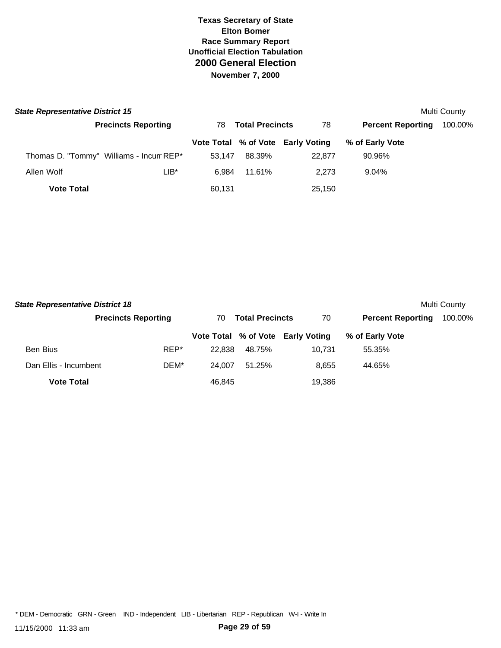| <b>State Representative District 15</b> |                            |                               |        |                                   |                          | Multi County |
|-----------------------------------------|----------------------------|-------------------------------|--------|-----------------------------------|--------------------------|--------------|
|                                         | <b>Precincts Reporting</b> | <b>Total Precincts</b><br>78. |        | 78                                | <b>Percent Reporting</b> | 100.00%      |
|                                         |                            |                               |        | Vote Total % of Vote Early Voting | % of Early Vote          |              |
| Thomas D. "Tommy" Williams - Incum REP* |                            | 53.147                        | 88.39% | 22,877                            | 90.96%                   |              |
| Allen Wolf                              | LIB*                       | 6.984                         | 11.61% | 2.273                             | 9.04%                    |              |
| <b>Vote Total</b>                       |                            | 60,131                        |        | 25,150                            |                          |              |

| <b>State Representative District 18</b> |                            |                              |        |                                   |                          | Multi County |
|-----------------------------------------|----------------------------|------------------------------|--------|-----------------------------------|--------------------------|--------------|
|                                         | <b>Precincts Reporting</b> | <b>Total Precincts</b><br>70 |        | 70                                | <b>Percent Reporting</b> | 100.00%      |
|                                         |                            |                              |        | Vote Total % of Vote Early Voting | % of Early Vote          |              |
| <b>Ben Bius</b>                         | REP*                       | 22.838                       | 48.75% | 10.731                            | 55.35%                   |              |
| Dan Ellis - Incumbent                   | DEM*                       | 24.007                       | 51.25% | 8.655                             | 44.65%                   |              |
| <b>Vote Total</b>                       |                            | 46.845                       |        | 19.386                            |                          |              |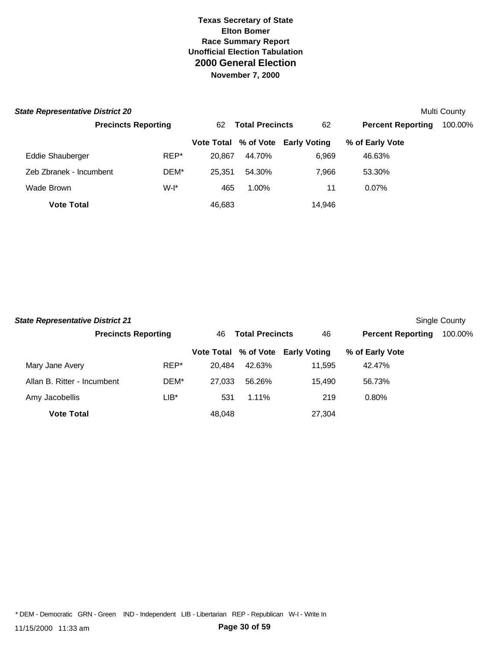| <b>State Representative District 20</b> |                            |      |                              |          |                                   |                          | Multi County |
|-----------------------------------------|----------------------------|------|------------------------------|----------|-----------------------------------|--------------------------|--------------|
|                                         | <b>Precincts Reporting</b> |      | <b>Total Precincts</b><br>62 |          | 62                                | <b>Percent Reporting</b> | 100.00%      |
|                                         |                            |      |                              |          | Vote Total % of Vote Early Voting | % of Early Vote          |              |
| <b>Eddie Shauberger</b>                 |                            | REP* | 20.867                       | 44.70%   | 6.969                             | 46.63%                   |              |
| Zeb Zbranek - Incumbent                 |                            | DEM* | 25.351                       | 54.30%   | 7,966                             | 53.30%                   |              |
| Wade Brown                              |                            | W-I* | 465                          | $1.00\%$ | 11                                | $0.07\%$                 |              |
| <b>Vote Total</b>                       |                            |      | 46,683                       |          | 14,946                            |                          |              |

| <b>State Representative District 21</b> |                            |                              |          |                                   |                          | Single County |
|-----------------------------------------|----------------------------|------------------------------|----------|-----------------------------------|--------------------------|---------------|
|                                         | <b>Precincts Reporting</b> | <b>Total Precincts</b><br>46 |          | 46                                | <b>Percent Reporting</b> | 100.00%       |
|                                         |                            |                              |          | Vote Total % of Vote Early Voting | % of Early Vote          |               |
| Mary Jane Avery                         | REP*                       | 20.484                       | 42.63%   | 11,595                            | 42.47%                   |               |
| Allan B. Ritter - Incumbent             | DEM*                       | 27.033                       | 56.26%   | 15.490                            | 56.73%                   |               |
| Amy Jacobellis                          | LIB*                       | 531                          | $1.11\%$ | 219                               | 0.80%                    |               |
| <b>Vote Total</b>                       |                            | 48,048                       |          | 27,304                            |                          |               |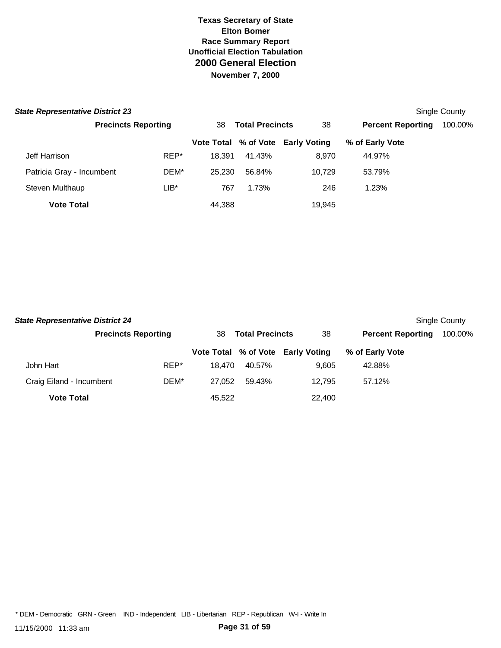|                            |                                                                                                              |                              |        |        |                                   | Single County |
|----------------------------|--------------------------------------------------------------------------------------------------------------|------------------------------|--------|--------|-----------------------------------|---------------|
| <b>Precincts Reporting</b> |                                                                                                              | <b>Total Precincts</b><br>38 |        | 38     | <b>Percent Reporting</b>          | 100.00%       |
|                            |                                                                                                              |                              |        |        | % of Early Vote                   |               |
|                            | REP*                                                                                                         | 18.391                       | 41.43% | 8.970  | 44.97%                            |               |
|                            | DEM*                                                                                                         |                              | 56.84% | 10.729 | 53.79%                            |               |
|                            | LIB*                                                                                                         | 767                          | 1.73%  | 246    | 1.23%                             |               |
|                            |                                                                                                              | 44,388                       |        | 19,945 |                                   |               |
|                            | <b>State Representative District 23</b><br>Patricia Gray - Incumbent<br>Steven Multhaup<br><b>Vote Total</b> |                              |        | 25.230 | Vote Total % of Vote Early Voting |               |

| <b>State Representative District 24</b> |                            |        |                              |                                   |                          | Single County |
|-----------------------------------------|----------------------------|--------|------------------------------|-----------------------------------|--------------------------|---------------|
|                                         | <b>Precincts Reporting</b> |        | <b>Total Precincts</b><br>38 |                                   | <b>Percent Reporting</b> | 100.00%       |
|                                         |                            |        |                              | Vote Total % of Vote Early Voting | % of Early Vote          |               |
| John Hart                               | REP*                       | 18.470 | 40.57%                       | 9.605                             | 42.88%                   |               |
| Craig Eiland - Incumbent                | DEM*                       | 27.052 | 59.43%                       | 12.795                            | 57.12%                   |               |
| <b>Vote Total</b>                       |                            | 45,522 |                              | 22,400                            |                          |               |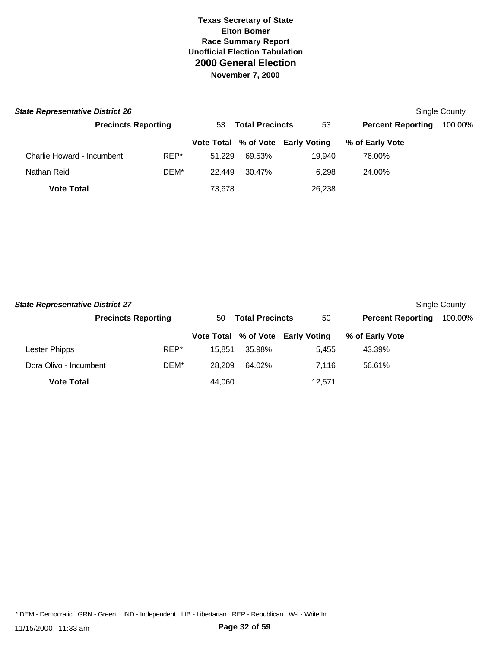| <b>State Representative District 26</b> |                            |      |                              |        |                                   |                          | Single County |
|-----------------------------------------|----------------------------|------|------------------------------|--------|-----------------------------------|--------------------------|---------------|
|                                         | <b>Precincts Reporting</b> |      | <b>Total Precincts</b><br>53 |        | 53                                | <b>Percent Reporting</b> | 100.00%       |
|                                         |                            |      |                              |        | Vote Total % of Vote Early Voting | % of Early Vote          |               |
| Charlie Howard - Incumbent              |                            | REP* | 51.229                       | 69.53% | 19.940                            | 76.00%                   |               |
| Nathan Reid                             |                            | DEM* | 22.449                       | 30.47% | 6.298                             | 24.00%                   |               |
| <b>Vote Total</b>                       |                            |      | 73,678                       |        | 26,238                            |                          |               |

| <b>State Representative District 27</b> |                            |                              |        |                                   |                          | Single County |
|-----------------------------------------|----------------------------|------------------------------|--------|-----------------------------------|--------------------------|---------------|
|                                         | <b>Precincts Reporting</b> | <b>Total Precincts</b><br>50 |        | 50                                | <b>Percent Reporting</b> | 100.00%       |
|                                         |                            |                              |        | Vote Total % of Vote Early Voting | % of Early Vote          |               |
| Lester Phipps                           | REP*                       | 15.851                       | 35.98% | 5.455                             | 43.39%                   |               |
| Dora Olivo - Incumbent                  | DEM*                       | 28.209                       | 64.02% | 7.116                             | 56.61%                   |               |
| <b>Vote Total</b>                       |                            | 44.060                       |        | 12,571                            |                          |               |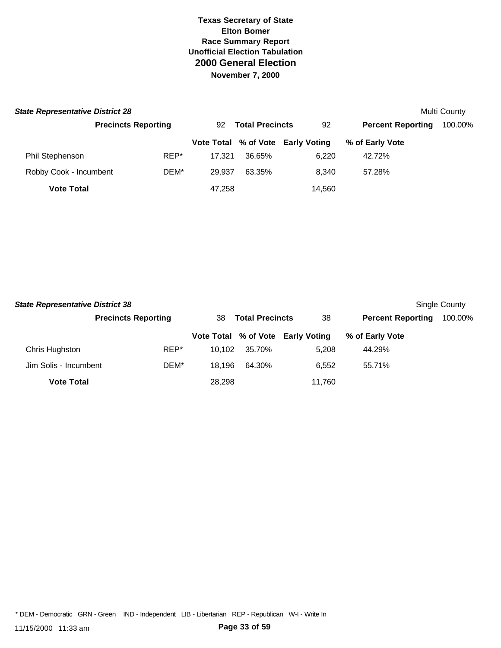| <b>State Representative District 28</b> |                            |                              |        |                                   |                          | Multi County |
|-----------------------------------------|----------------------------|------------------------------|--------|-----------------------------------|--------------------------|--------------|
|                                         | <b>Precincts Reporting</b> | <b>Total Precincts</b><br>92 |        | 92                                | <b>Percent Reporting</b> | 100.00%      |
|                                         |                            |                              |        | Vote Total % of Vote Early Voting | % of Early Vote          |              |
| Phil Stephenson                         | REP*                       | 17.321                       | 36.65% | 6.220                             | 42.72%                   |              |
| Robby Cook - Incumbent                  | DEM*                       | 29.937                       | 63.35% | 8.340                             | 57.28%                   |              |
| <b>Vote Total</b>                       |                            | 47,258                       |        | 14,560                            |                          |              |

| <b>State Representative District 38</b> |                            |                              |        |                                   |                          | Single County |
|-----------------------------------------|----------------------------|------------------------------|--------|-----------------------------------|--------------------------|---------------|
|                                         | <b>Precincts Reporting</b> | <b>Total Precincts</b><br>38 |        | 38                                | <b>Percent Reporting</b> | 100.00%       |
|                                         |                            |                              |        | Vote Total % of Vote Early Voting | % of Early Vote          |               |
| Chris Hughston                          | REP*                       | 10.102                       | 35.70% | 5.208                             | 44.29%                   |               |
| Jim Solis - Incumbent                   | DEM*                       | 18.196                       | 64.30% | 6.552                             | 55.71%                   |               |
| <b>Vote Total</b>                       |                            | 28.298                       |        | 11,760                            |                          |               |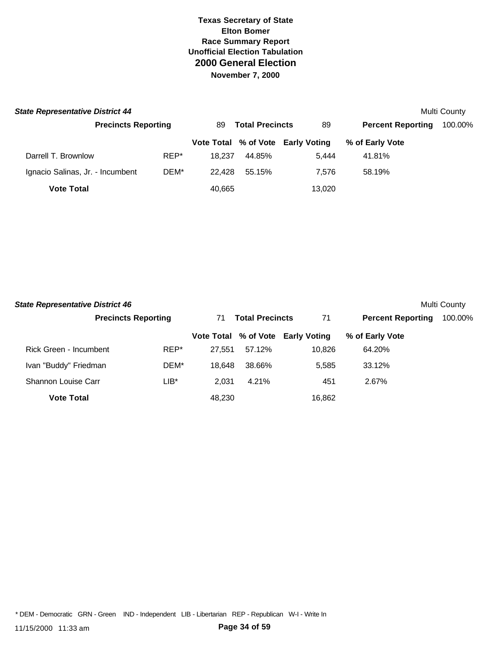| <b>State Representative District 44</b> |                            |        |                              |                                   |                          | Multi County |
|-----------------------------------------|----------------------------|--------|------------------------------|-----------------------------------|--------------------------|--------------|
|                                         | <b>Precincts Reporting</b> |        | <b>Total Precincts</b><br>89 |                                   | <b>Percent Reporting</b> | 100.00%      |
|                                         |                            |        |                              | Vote Total % of Vote Early Voting | % of Early Vote          |              |
| Darrell T. Brownlow                     | REP*                       | 18.237 | 44.85%                       | 5.444                             | 41.81%                   |              |
| Ignacio Salinas, Jr. - Incumbent        | DEM*                       | 22.428 | 55.15%                       | 7.576                             | 58.19%                   |              |
| <b>Vote Total</b>                       |                            | 40,665 |                              | 13,020                            |                          |              |

| <b>State Representative District 46</b> |                            |        |                              |                                   |                          | Multi County |
|-----------------------------------------|----------------------------|--------|------------------------------|-----------------------------------|--------------------------|--------------|
|                                         | <b>Precincts Reporting</b> |        | <b>Total Precincts</b><br>71 |                                   | <b>Percent Reporting</b> | 100.00%      |
|                                         |                            |        |                              | Vote Total % of Vote Early Voting | % of Early Vote          |              |
| Rick Green - Incumbent                  | REP*                       | 27.551 | 57.12%                       | 10.826                            | 64.20%                   |              |
| Ivan "Buddy" Friedman                   | DEM*                       | 18.648 | 38.66%                       | 5.585                             | 33.12%                   |              |
| Shannon Louise Carr                     | LIB*                       | 2.031  | 4.21%                        | 451                               | 2.67%                    |              |
| <b>Vote Total</b>                       |                            | 48.230 |                              | 16,862                            |                          |              |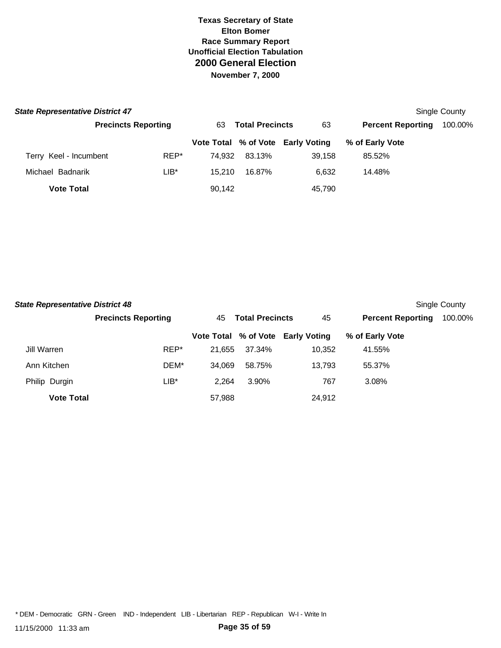| <b>State Representative District 47</b> |                            |      |                              |        |                                   |                          | Single County |
|-----------------------------------------|----------------------------|------|------------------------------|--------|-----------------------------------|--------------------------|---------------|
|                                         | <b>Precincts Reporting</b> |      | <b>Total Precincts</b><br>63 |        | 63                                | <b>Percent Reporting</b> | 100.00%       |
|                                         |                            |      |                              |        | Vote Total % of Vote Early Voting | % of Early Vote          |               |
| Terry Keel - Incumbent                  |                            | REP* | 74.932                       | 83.13% | 39.158                            | 85.52%                   |               |
| Michael Badnarik                        |                            | LIB* | 15.210                       | 16.87% | 6.632                             | 14.48%                   |               |
| <b>Vote Total</b>                       |                            |      | 90,142                       |        | 45.790                            |                          |               |

| <b>State Representative District 48</b> |                            |                              |        | Single County                     |                          |         |
|-----------------------------------------|----------------------------|------------------------------|--------|-----------------------------------|--------------------------|---------|
|                                         | <b>Precincts Reporting</b> | <b>Total Precincts</b><br>45 |        | 45                                | <b>Percent Reporting</b> | 100.00% |
|                                         |                            |                              |        | Vote Total % of Vote Early Voting | % of Early Vote          |         |
| Jill Warren                             | REP*                       | 21.655                       | 37.34% | 10,352                            | 41.55%                   |         |
| Ann Kitchen                             | DEM*                       | 34.069                       | 58.75% | 13.793                            | 55.37%                   |         |
| Philip Durgin                           | $LIB*$                     | 2,264                        | 3.90%  | 767                               | 3.08%                    |         |
| <b>Vote Total</b>                       |                            | 57.988                       |        | 24,912                            |                          |         |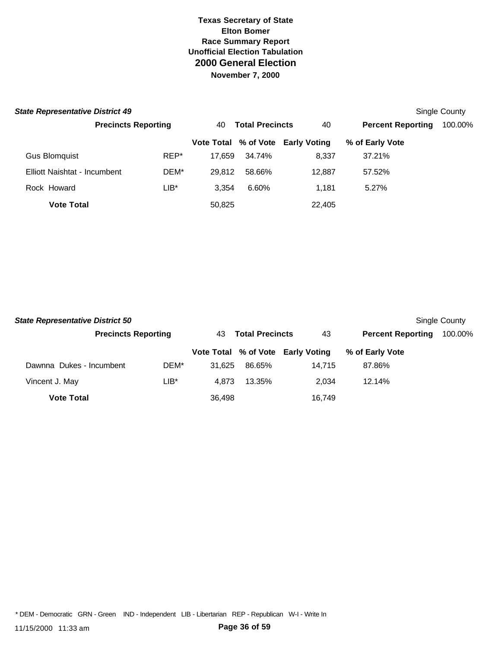| <b>State Representative District 49</b> |                            |      |                              |        |                                   |                          | Single County |
|-----------------------------------------|----------------------------|------|------------------------------|--------|-----------------------------------|--------------------------|---------------|
|                                         | <b>Precincts Reporting</b> |      | <b>Total Precincts</b><br>40 |        | 40                                | <b>Percent Reporting</b> | 100.00%       |
|                                         |                            |      |                              |        | Vote Total % of Vote Early Voting | % of Early Vote          |               |
| <b>Gus Blomquist</b>                    |                            | REP* | 17.659                       | 34.74% | 8.337                             | 37.21%                   |               |
| Elliott Naishtat - Incumbent            |                            | DEM* | 29.812                       | 58.66% | 12,887                            | 57.52%                   |               |
| Rock Howard                             |                            | LIB* | 3.354                        | 6.60%  | 1.181                             | 5.27%                    |               |
| <b>Vote Total</b>                       |                            |      | 50,825                       |        | 22,405                            |                          |               |

| <b>State Representative District 50</b> |                            |        |                              |                                   |                          | Single County |
|-----------------------------------------|----------------------------|--------|------------------------------|-----------------------------------|--------------------------|---------------|
|                                         | <b>Precincts Reporting</b> |        | <b>Total Precincts</b><br>43 |                                   | <b>Percent Reporting</b> | 100.00%       |
|                                         |                            |        |                              | Vote Total % of Vote Early Voting | % of Early Vote          |               |
| Dawnna Dukes - Incumbent                | DEM*                       | 31.625 | 86.65%                       | 14.715                            | 87.86%                   |               |
| Vincent J. May                          | LIB*                       | 4.873  | 13.35%                       | 2.034                             | 12.14%                   |               |
| <b>Vote Total</b>                       |                            | 36,498 |                              | 16.749                            |                          |               |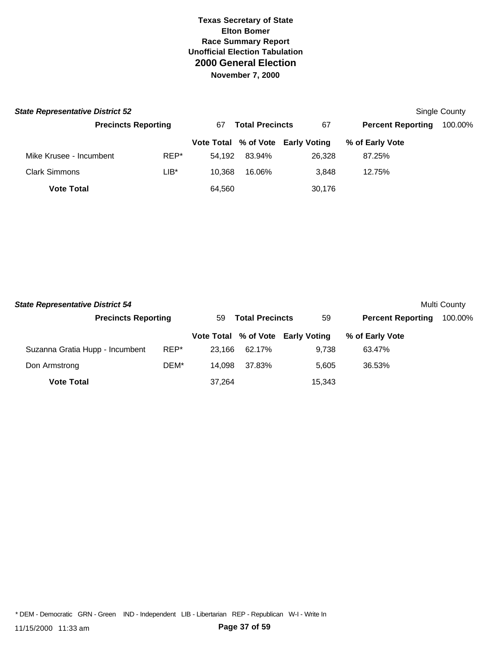| <b>State Representative District 52</b> |                            |         |                              |        |                                   |                          | Single County |
|-----------------------------------------|----------------------------|---------|------------------------------|--------|-----------------------------------|--------------------------|---------------|
|                                         | <b>Precincts Reporting</b> |         | <b>Total Precincts</b><br>67 |        | 67                                | <b>Percent Reporting</b> | 100.00%       |
|                                         |                            |         |                              |        | Vote Total % of Vote Early Voting | % of Early Vote          |               |
| Mike Krusee - Incumbent                 |                            | REP*    | 54.192                       | 83.94% | 26.328                            | 87.25%                   |               |
| <b>Clark Simmons</b>                    |                            | $LIB^*$ | 10.368                       | 16.06% | 3.848                             | 12.75%                   |               |
| <b>Vote Total</b>                       |                            |         | 64,560                       |        | 30,176                            |                          |               |

| <b>State Representative District 54</b> |                            |        |                              |                                   |                          | Multi County |
|-----------------------------------------|----------------------------|--------|------------------------------|-----------------------------------|--------------------------|--------------|
|                                         | <b>Precincts Reporting</b> |        | <b>Total Precincts</b><br>59 |                                   | <b>Percent Reporting</b> | 100.00%      |
|                                         |                            |        |                              | Vote Total % of Vote Early Voting | % of Early Vote          |              |
| Suzanna Gratia Hupp - Incumbent         | REP*                       | 23.166 | 62.17%                       | 9.738                             | 63.47%                   |              |
| Don Armstrong                           | DEM*                       | 14.098 | 37.83%                       | 5.605                             | 36.53%                   |              |
| <b>Vote Total</b>                       |                            | 37.264 |                              | 15,343                            |                          |              |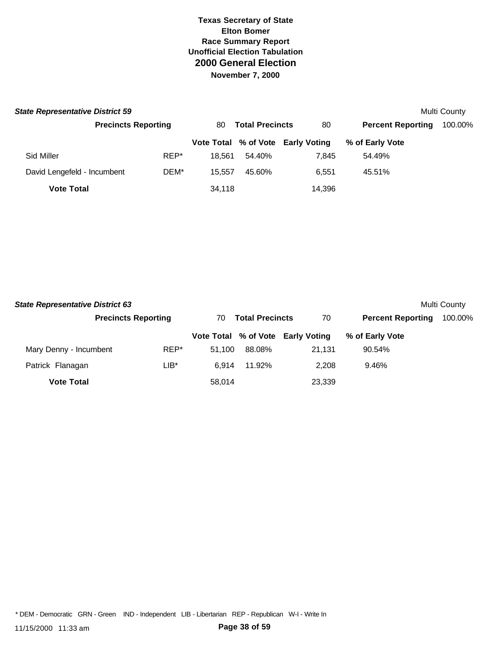| <b>State Representative District 59</b> |                            |      |                              |        |                                   |                          | Multi County |
|-----------------------------------------|----------------------------|------|------------------------------|--------|-----------------------------------|--------------------------|--------------|
|                                         | <b>Precincts Reporting</b> |      | <b>Total Precincts</b><br>80 |        | 80                                | <b>Percent Reporting</b> | 100.00%      |
|                                         |                            |      |                              |        | Vote Total % of Vote Early Voting | % of Early Vote          |              |
| Sid Miller                              |                            | REP* | 18.561                       | 54.40% | 7.845                             | 54.49%                   |              |
| David Lengefeld - Incumbent             |                            | DEM* | 15.557                       | 45.60% | 6.551                             | 45.51%                   |              |
| <b>Vote Total</b>                       |                            |      | 34,118                       |        | 14.396                            |                          |              |

| <b>State Representative District 63</b> |                            |        |                              |                                   |                          | Multi County |
|-----------------------------------------|----------------------------|--------|------------------------------|-----------------------------------|--------------------------|--------------|
|                                         | <b>Precincts Reporting</b> |        | <b>Total Precincts</b><br>70 |                                   | <b>Percent Reporting</b> | 100.00%      |
|                                         |                            |        |                              | Vote Total % of Vote Early Voting | % of Early Vote          |              |
| Mary Denny - Incumbent                  | REP*                       | 51.100 | 88.08%                       | 21.131                            | 90.54%                   |              |
| Patrick Flanagan                        | LIB*                       | 6.914  | 11.92%                       | 2.208                             | 9.46%                    |              |
| <b>Vote Total</b>                       |                            | 58.014 |                              | 23,339                            |                          |              |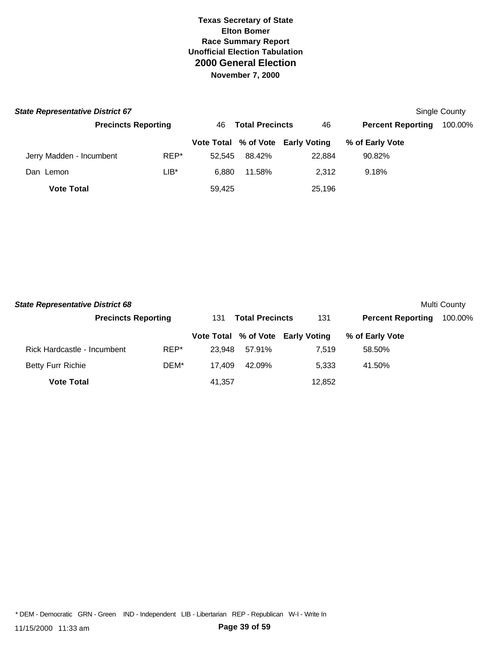| <b>State Representative District 67</b> |                            |         |                              |        |                                   |                          | Single County |
|-----------------------------------------|----------------------------|---------|------------------------------|--------|-----------------------------------|--------------------------|---------------|
|                                         | <b>Precincts Reporting</b> |         | <b>Total Precincts</b><br>46 |        | 46                                | <b>Percent Reporting</b> | 100.00%       |
|                                         |                            |         |                              |        | Vote Total % of Vote Early Voting | % of Early Vote          |               |
| Jerry Madden - Incumbent                |                            | REP*    | 52.545                       | 88.42% | 22,884                            | 90.82%                   |               |
| Dan Lemon                               |                            | $LIB^*$ | 6.880                        | 11.58% | 2.312                             | 9.18%                    |               |
| <b>Vote Total</b>                       |                            |         | 59.425                       |        | 25,196                            |                          |               |

| <b>State Representative District 68</b> |                            |        |                               |                                   |                          | Multi County |
|-----------------------------------------|----------------------------|--------|-------------------------------|-----------------------------------|--------------------------|--------------|
|                                         | <b>Precincts Reporting</b> |        | <b>Total Precincts</b><br>131 |                                   | <b>Percent Reporting</b> | 100.00%      |
|                                         |                            |        |                               | Vote Total % of Vote Early Voting | % of Early Vote          |              |
| Rick Hardcastle - Incumbent             | REP*                       | 23.948 | 57.91%                        | 7.519                             | 58.50%                   |              |
| <b>Betty Furr Richie</b>                | DEM*                       | 17.409 | 42.09%                        | 5.333                             | 41.50%                   |              |
| <b>Vote Total</b>                       |                            | 41.357 |                               | 12,852                            |                          |              |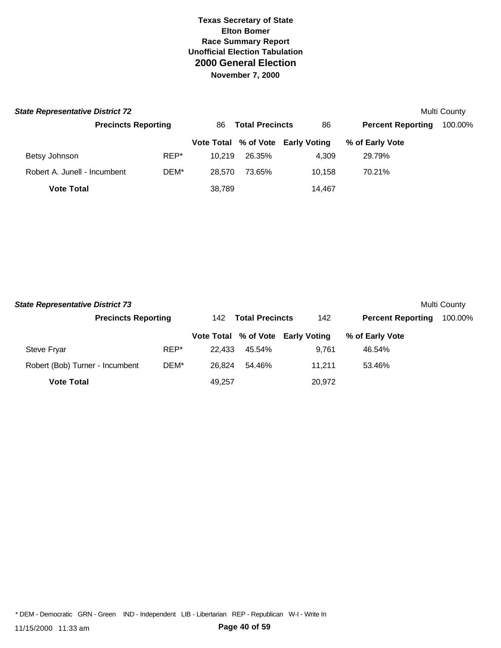| <b>State Representative District 72</b> |                            |                              |        |                                   |                          | Multi County |
|-----------------------------------------|----------------------------|------------------------------|--------|-----------------------------------|--------------------------|--------------|
|                                         | <b>Precincts Reporting</b> | <b>Total Precincts</b><br>86 |        | 86                                | <b>Percent Reporting</b> | 100.00%      |
|                                         |                            |                              |        | Vote Total % of Vote Early Voting | % of Early Vote          |              |
| Betsy Johnson                           | REP*                       | 10.219                       | 26.35% | 4.309                             | 29.79%                   |              |
| Robert A. Junell - Incumbent            | DEM*                       | 28.570                       | 73.65% | 10.158                            | 70.21%                   |              |
| <b>Vote Total</b>                       |                            | 38,789                       |        | 14.467                            |                          |              |

| <b>State Representative District 73</b> |                            |      |                                |        |                                   |                          | Multi County |
|-----------------------------------------|----------------------------|------|--------------------------------|--------|-----------------------------------|--------------------------|--------------|
|                                         | <b>Precincts Reporting</b> |      | <b>Total Precincts</b><br>142. |        | 142                               | <b>Percent Reporting</b> | 100.00%      |
|                                         |                            |      |                                |        | Vote Total % of Vote Early Voting | % of Early Vote          |              |
| Steve Fryar                             |                            | REP* | 22.433                         | 45.54% | 9.761                             | 46.54%                   |              |
| Robert (Bob) Turner - Incumbent         |                            | DEM* | 26.824                         | 54.46% | 11.211                            | 53.46%                   |              |
| <b>Vote Total</b>                       |                            |      | 49.257                         |        | 20,972                            |                          |              |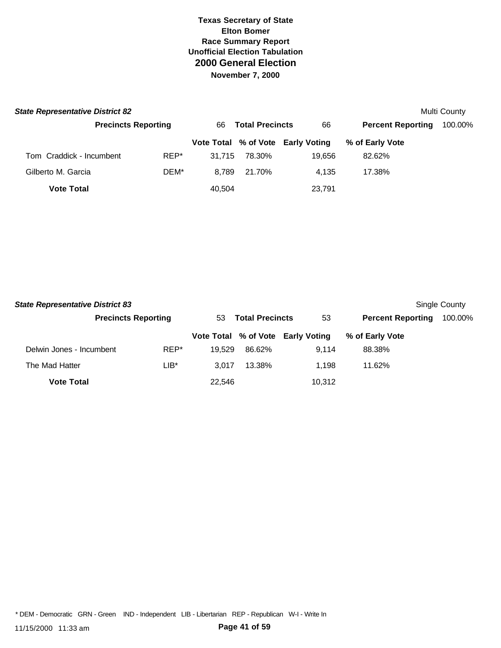| <b>State Representative District 82</b> |                            |        |                              |                                   |                          | Multi County |
|-----------------------------------------|----------------------------|--------|------------------------------|-----------------------------------|--------------------------|--------------|
|                                         | <b>Precincts Reporting</b> |        | <b>Total Precincts</b><br>66 |                                   | <b>Percent Reporting</b> | 100.00%      |
|                                         |                            |        |                              | Vote Total % of Vote Early Voting | % of Early Vote          |              |
| Tom Craddick - Incumbent                | REP*                       | 31.715 | 78.30%                       | 19.656                            | 82.62%                   |              |
| Gilberto M. Garcia                      | DEM*                       | 8.789  | 21.70%                       | 4.135                             | 17.38%                   |              |
| <b>Vote Total</b>                       |                            | 40,504 |                              | 23,791                            |                          |              |

| <b>State Representative District 83</b> |                            |        |                              |                                   |                          | Single County |
|-----------------------------------------|----------------------------|--------|------------------------------|-----------------------------------|--------------------------|---------------|
|                                         | <b>Precincts Reporting</b> |        | <b>Total Precincts</b><br>53 |                                   | <b>Percent Reporting</b> | 100.00%       |
|                                         |                            |        |                              | Vote Total % of Vote Early Voting | % of Early Vote          |               |
| Delwin Jones - Incumbent                | REP*                       | 19.529 | 86.62%                       | 9.114                             | 88.38%                   |               |
| The Mad Hatter                          | LIB*                       | 3.017  | 13.38%                       | 1.198                             | 11.62%                   |               |
| <b>Vote Total</b>                       |                            | 22.546 |                              | 10,312                            |                          |               |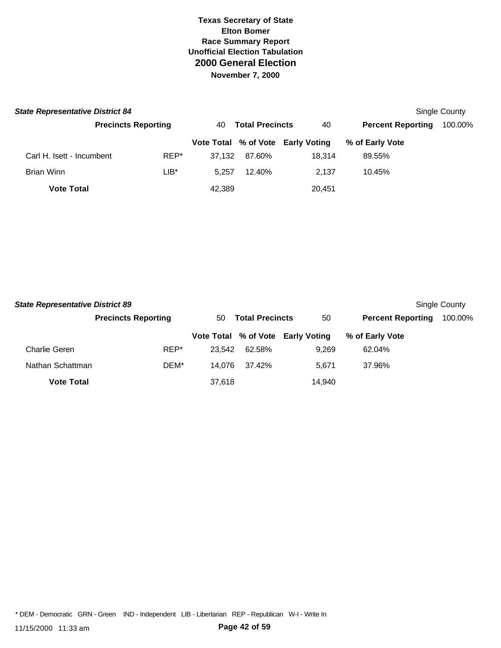| <b>State Representative District 84</b> |                            |        |                              |                                   |                          | <b>Single County</b> |
|-----------------------------------------|----------------------------|--------|------------------------------|-----------------------------------|--------------------------|----------------------|
|                                         | <b>Precincts Reporting</b> |        | <b>Total Precincts</b><br>40 |                                   | <b>Percent Reporting</b> | 100.00%              |
|                                         |                            |        |                              | Vote Total % of Vote Early Voting | % of Early Vote          |                      |
| Carl H. Isett - Incumbent               | REP*                       | 37.132 | 87.60%                       | 18.314                            | 89.55%                   |                      |
| Brian Winn                              | $LIB*$                     | 5.257  | 12.40%                       | 2.137                             | 10.45%                   |                      |
| <b>Vote Total</b>                       |                            | 42,389 |                              | 20,451                            |                          |                      |

| <b>State Representative District 89</b> |                            |                              |        |                                   |                          | Single County |
|-----------------------------------------|----------------------------|------------------------------|--------|-----------------------------------|--------------------------|---------------|
|                                         | <b>Precincts Reporting</b> | <b>Total Precincts</b><br>50 |        | 50                                | <b>Percent Reporting</b> | 100.00%       |
|                                         |                            |                              |        | Vote Total % of Vote Early Voting | % of Early Vote          |               |
| <b>Charlie Geren</b>                    | REP*                       | 23.542                       | 62.58% | 9.269                             | 62.04%                   |               |
| Nathan Schattman                        | DEM*                       | 14.076                       | 37.42% | 5.671                             | 37.96%                   |               |
| <b>Vote Total</b>                       |                            | 37,618                       |        | 14.940                            |                          |               |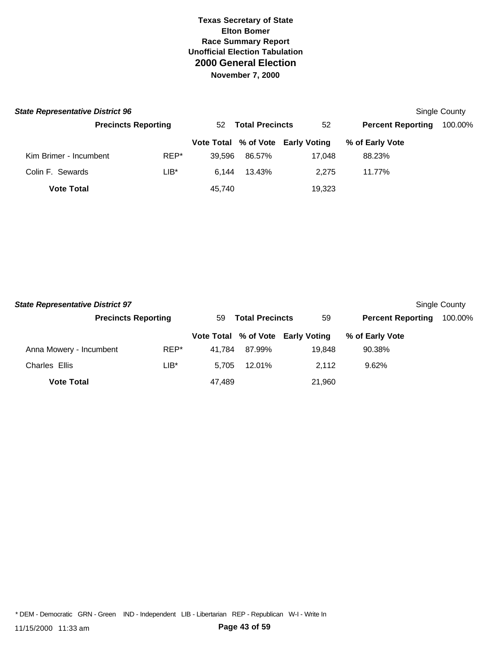| <b>State Representative District 96</b> |                            |        |                              |        |                                   |                          | Single County |
|-----------------------------------------|----------------------------|--------|------------------------------|--------|-----------------------------------|--------------------------|---------------|
|                                         | <b>Precincts Reporting</b> |        | <b>Total Precincts</b><br>52 |        | 52                                | <b>Percent Reporting</b> | 100.00%       |
|                                         |                            |        |                              |        | Vote Total % of Vote Early Voting | % of Early Vote          |               |
| Kim Brimer - Incumbent                  |                            | REP*   | 39.596                       | 86.57% | 17.048                            | 88.23%                   |               |
| Colin F. Sewards                        |                            | $LIB*$ | 6.144                        | 13.43% | 2.275                             | 11.77%                   |               |
| <b>Vote Total</b>                       |                            |        | 45,740                       |        | 19,323                            |                          |               |

| <b>State Representative District 97</b> |                            |        |                              |                                   |                          | Single County |
|-----------------------------------------|----------------------------|--------|------------------------------|-----------------------------------|--------------------------|---------------|
|                                         | <b>Precincts Reporting</b> |        | <b>Total Precincts</b><br>59 |                                   | <b>Percent Reporting</b> | 100.00%       |
|                                         |                            |        |                              | Vote Total % of Vote Early Voting | % of Early Vote          |               |
| Anna Mowery - Incumbent                 | REP*                       | 41.784 | 87.99%                       | 19.848                            | 90.38%                   |               |
| Charles Ellis                           | LIB*                       | 5.705  | 12.01%                       | 2.112                             | 9.62%                    |               |
| <b>Vote Total</b>                       |                            | 47.489 |                              | 21,960                            |                          |               |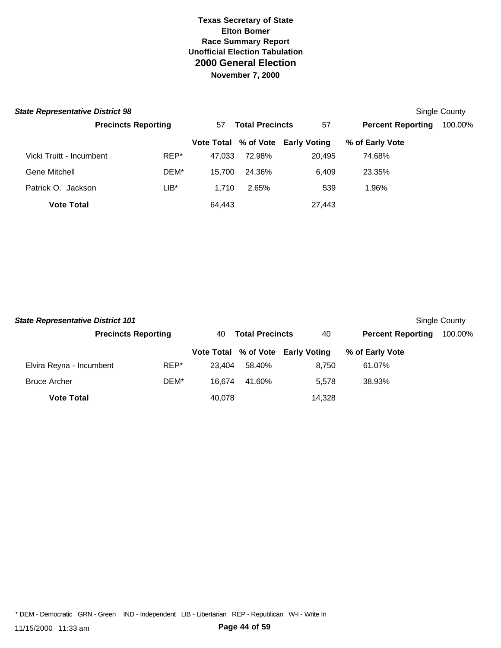| <b>State Representative District 98</b> |                            |      |                              |        |                                   |                          | Single County |
|-----------------------------------------|----------------------------|------|------------------------------|--------|-----------------------------------|--------------------------|---------------|
|                                         | <b>Precincts Reporting</b> |      | <b>Total Precincts</b><br>57 |        | 57                                | <b>Percent Reporting</b> | 100.00%       |
|                                         |                            |      |                              |        | Vote Total % of Vote Early Voting | % of Early Vote          |               |
| Vicki Truitt - Incumbent                |                            | REP* | 47.033                       | 72.98% | 20.495                            | 74.68%                   |               |
| Gene Mitchell                           |                            | DEM* | 15.700                       | 24.36% | 6.409                             | 23.35%                   |               |
| Patrick O. Jackson                      |                            | LIB* | 1.710                        | 2.65%  | 539                               | 1.96%                    |               |
| <b>Vote Total</b>                       |                            |      | 64,443                       |        | 27,443                            |                          |               |

| <b>State Representative District 101</b><br>Single County |                            |      |                              |        |                                   |                          |         |  |  |
|-----------------------------------------------------------|----------------------------|------|------------------------------|--------|-----------------------------------|--------------------------|---------|--|--|
|                                                           | <b>Precincts Reporting</b> |      | <b>Total Precincts</b><br>40 |        | 40                                | <b>Percent Reporting</b> | 100.00% |  |  |
|                                                           |                            |      |                              |        | Vote Total % of Vote Early Voting | % of Early Vote          |         |  |  |
| Elvira Reyna - Incumbent                                  |                            | REP* | 23.404                       | 58.40% | 8.750                             | 61.07%                   |         |  |  |
| <b>Bruce Archer</b>                                       |                            | DEM* | 16.674                       | 41.60% | 5.578                             | 38.93%                   |         |  |  |
| <b>Vote Total</b>                                         |                            |      | 40,078                       |        | 14,328                            |                          |         |  |  |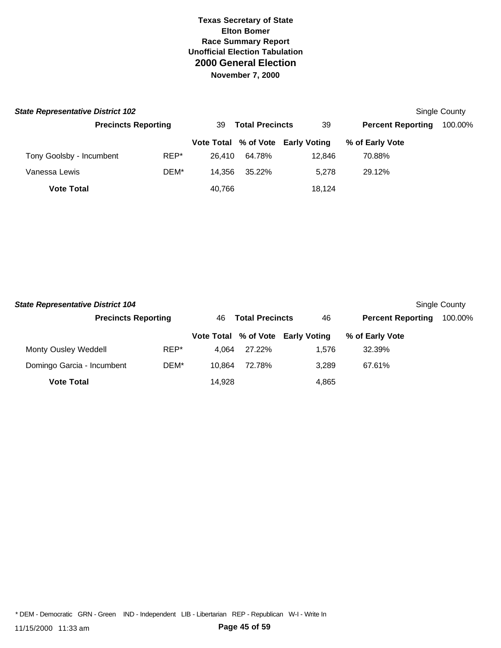| <b>State Representative District 102</b> |                            |      |                              |        |                                   |                          | Single County |
|------------------------------------------|----------------------------|------|------------------------------|--------|-----------------------------------|--------------------------|---------------|
|                                          | <b>Precincts Reporting</b> |      | <b>Total Precincts</b><br>39 |        | 39                                | <b>Percent Reporting</b> | 100.00%       |
|                                          |                            |      |                              |        | Vote Total % of Vote Early Voting | % of Early Vote          |               |
| Tony Goolsby - Incumbent                 |                            | REP* | 26.410                       | 64.78% | 12.846                            | 70.88%                   |               |
| Vanessa Lewis                            |                            | DEM* | 14.356                       | 35.22% | 5.278                             | 29.12%                   |               |
| <b>Vote Total</b>                        |                            |      | 40,766                       |        | 18.124                            |                          |               |

| <b>State Representative District 104</b> |                            |        |                              |                                   |                          | Single County |
|------------------------------------------|----------------------------|--------|------------------------------|-----------------------------------|--------------------------|---------------|
|                                          | <b>Precincts Reporting</b> |        | <b>Total Precincts</b><br>46 |                                   | <b>Percent Reporting</b> | 100.00%       |
|                                          |                            |        |                              | Vote Total % of Vote Early Voting | % of Early Vote          |               |
| Monty Ousley Weddell                     | REP*                       | 4.064  | 27.22%                       | 1.576                             | 32.39%                   |               |
| Domingo Garcia - Incumbent               | DEM*                       | 10.864 | 72.78%                       | 3.289                             | 67.61%                   |               |
| <b>Vote Total</b>                        |                            | 14.928 |                              | 4,865                             |                          |               |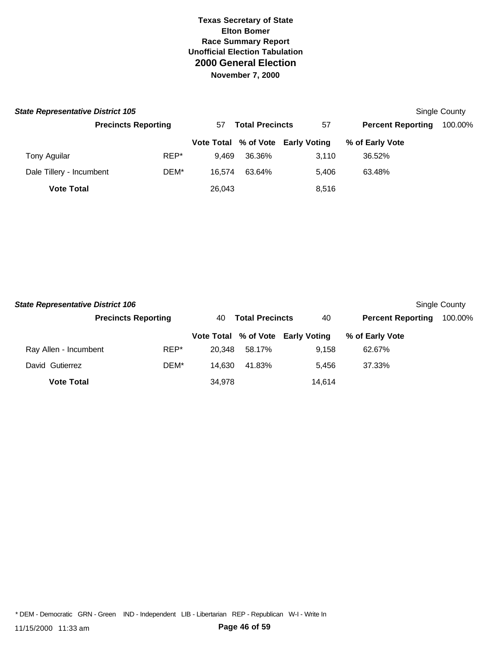| <b>State Representative District 105</b> |                            |                              |        |                                   |                          | Single County |
|------------------------------------------|----------------------------|------------------------------|--------|-----------------------------------|--------------------------|---------------|
|                                          | <b>Precincts Reporting</b> | <b>Total Precincts</b><br>57 |        | 57                                | <b>Percent Reporting</b> | 100.00%       |
|                                          |                            |                              |        | Vote Total % of Vote Early Voting | % of Early Vote          |               |
| Tony Aguilar                             | REP*                       | 9.469                        | 36.36% | 3.110                             | 36.52%                   |               |
| Dale Tillery - Incumbent                 | DEM*                       | 16.574                       | 63.64% | 5.406                             | 63.48%                   |               |
| <b>Vote Total</b>                        |                            | 26,043                       |        | 8,516                             |                          |               |

| <b>State Representative District 106</b> |                            |        |                              |                                   |                          | Single County |
|------------------------------------------|----------------------------|--------|------------------------------|-----------------------------------|--------------------------|---------------|
|                                          | <b>Precincts Reporting</b> |        | <b>Total Precincts</b><br>40 |                                   | <b>Percent Reporting</b> | 100.00%       |
|                                          |                            |        |                              | Vote Total % of Vote Early Voting | % of Early Vote          |               |
| Ray Allen - Incumbent                    | REP*                       | 20.348 | 58.17%                       | 9.158                             | 62.67%                   |               |
| David Gutierrez                          | DEM*                       | 14.630 | 41.83%                       | 5.456                             | 37.33%                   |               |
| <b>Vote Total</b>                        |                            | 34.978 |                              | 14.614                            |                          |               |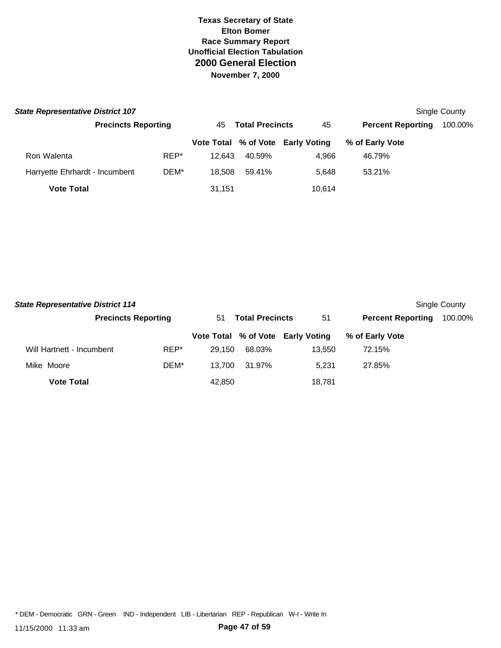| <b>State Representative District 107</b> |                            |      |                              |        |                                   |                          | Single County |
|------------------------------------------|----------------------------|------|------------------------------|--------|-----------------------------------|--------------------------|---------------|
|                                          | <b>Precincts Reporting</b> |      | <b>Total Precincts</b><br>45 |        | 45                                | <b>Percent Reporting</b> | 100.00%       |
|                                          |                            |      |                              |        | Vote Total % of Vote Early Voting | % of Early Vote          |               |
| Ron Walenta                              |                            | REP* | 12.643                       | 40.59% | 4.966                             | 46.79%                   |               |
| Harryette Ehrhardt - Incumbent           |                            | DEM* | 18.508                       | 59.41% | 5.648                             | 53.21%                   |               |
| <b>Vote Total</b>                        |                            |      | 31.151                       |        | 10.614                            |                          |               |

| <b>State Representative District 114</b> |                            |        |                              |                                   |                          | Single County |
|------------------------------------------|----------------------------|--------|------------------------------|-----------------------------------|--------------------------|---------------|
|                                          | <b>Precincts Reporting</b> |        | <b>Total Precincts</b><br>51 |                                   | <b>Percent Reporting</b> | 100.00%       |
|                                          |                            |        |                              | Vote Total % of Vote Early Voting | % of Early Vote          |               |
| Will Hartnett - Incumbent                | REP*                       | 29.150 | 68.03%                       | 13.550                            | 72.15%                   |               |
| Mike Moore                               | DEM*                       | 13.700 | 31.97%                       | 5.231                             | 27.85%                   |               |
| <b>Vote Total</b>                        |                            | 42.850 |                              | 18.781                            |                          |               |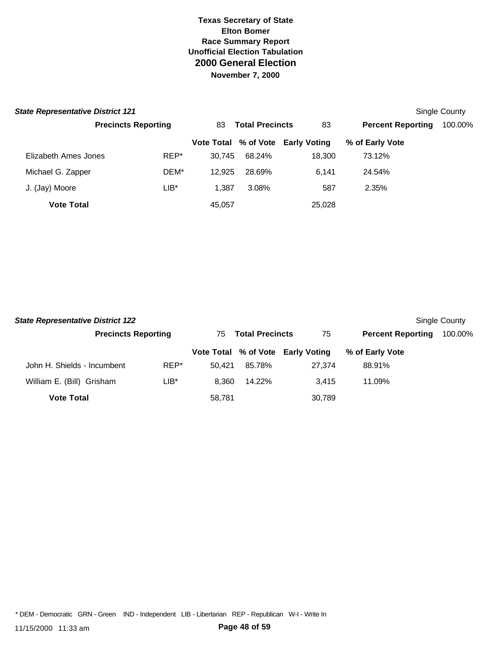| <b>State Representative District 121</b> |                            |        |                        |                                   |                          | Single County |
|------------------------------------------|----------------------------|--------|------------------------|-----------------------------------|--------------------------|---------------|
|                                          | <b>Precincts Reporting</b> | 83     | <b>Total Precincts</b> |                                   | <b>Percent Reporting</b> | 100.00%       |
|                                          |                            |        |                        | Vote Total % of Vote Early Voting | % of Early Vote          |               |
| Elizabeth Ames Jones                     | REP*                       | 30.745 | 68.24%                 | 18,300                            | 73.12%                   |               |
| Michael G. Zapper                        | DEM*                       | 12.925 | 28.69%                 | 6.141                             | 24.54%                   |               |
| J. (Jay) Moore                           | $LIB^*$                    | 1.387  | 3.08%                  | 587                               | 2.35%                    |               |
| <b>Vote Total</b>                        |                            | 45,057 |                        | 25,028                            |                          |               |

| <b>State Representative District 122</b><br>Single County |                            |        |                               |        |                                   |                          |         |  |  |
|-----------------------------------------------------------|----------------------------|--------|-------------------------------|--------|-----------------------------------|--------------------------|---------|--|--|
|                                                           | <b>Precincts Reporting</b> |        | <b>Total Precincts</b><br>75. |        | 75                                | <b>Percent Reporting</b> | 100.00% |  |  |
|                                                           |                            |        |                               |        | Vote Total % of Vote Early Voting | % of Early Vote          |         |  |  |
| John H. Shields - Incumbent                               |                            | REP*   | 50.421                        | 85.78% | 27.374                            | 88.91%                   |         |  |  |
| William E. (Bill) Grisham                                 |                            | $LIB*$ | 8.360                         | 14.22% | 3.415                             | 11.09%                   |         |  |  |
| <b>Vote Total</b>                                         |                            |        | 58,781                        |        | 30,789                            |                          |         |  |  |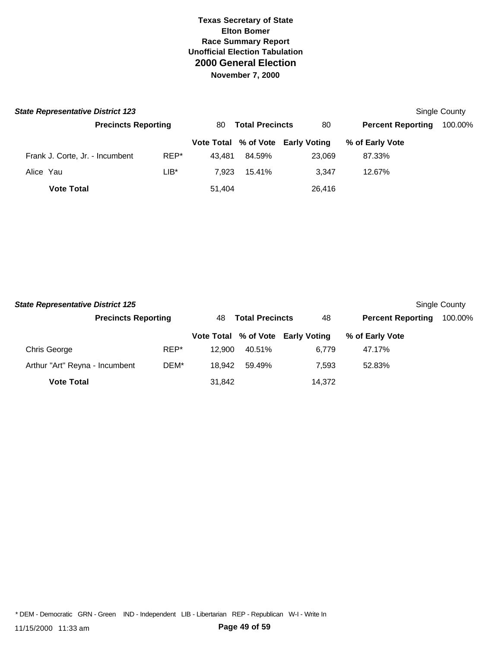| <b>State Representative District 123</b> |                            |        |                              |                                   |                          | Single County |
|------------------------------------------|----------------------------|--------|------------------------------|-----------------------------------|--------------------------|---------------|
|                                          | <b>Precincts Reporting</b> |        | <b>Total Precincts</b><br>80 |                                   | <b>Percent Reporting</b> | 100.00%       |
|                                          |                            |        |                              | Vote Total % of Vote Early Voting | % of Early Vote          |               |
| Frank J. Corte, Jr. - Incumbent          | REP*                       | 43.481 | 84.59%                       | 23,069                            | 87.33%                   |               |
| Alice Yau                                | $LIB*$                     | 7.923  | 15.41%                       | 3.347                             | 12.67%                   |               |
| <b>Vote Total</b>                        |                            | 51,404 |                              | 26,416                            |                          |               |

| <b>State Representative District 125</b> |                            |      |                              |        |                                   |                          | Single County |
|------------------------------------------|----------------------------|------|------------------------------|--------|-----------------------------------|--------------------------|---------------|
|                                          | <b>Precincts Reporting</b> |      | <b>Total Precincts</b><br>48 |        | 48                                | <b>Percent Reporting</b> | 100.00%       |
|                                          |                            |      |                              |        | Vote Total % of Vote Early Voting | % of Early Vote          |               |
| Chris George                             |                            | REP* | 12.900                       | 40.51% | 6.779                             | 47.17%                   |               |
| Arthur "Art" Reyna - Incumbent           |                            | DEM* | 18.942                       | 59.49% | 7.593                             | 52.83%                   |               |
| <b>Vote Total</b>                        |                            |      | 31,842                       |        | 14,372                            |                          |               |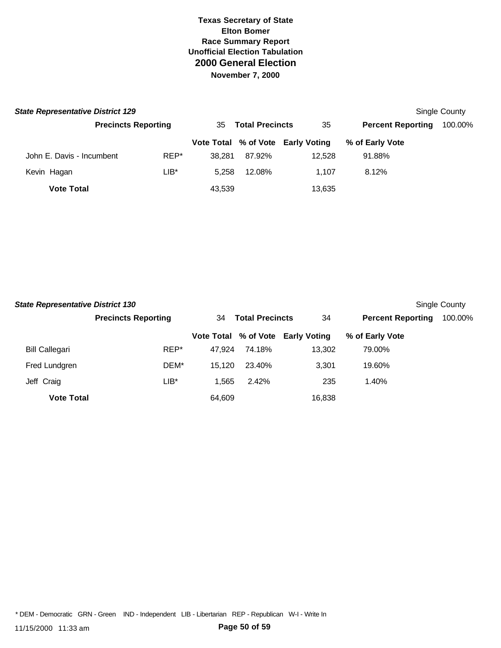| <b>State Representative District 129</b> |                            |      |                              |        |                                   |                          | Single County |
|------------------------------------------|----------------------------|------|------------------------------|--------|-----------------------------------|--------------------------|---------------|
|                                          | <b>Precincts Reporting</b> |      | <b>Total Precincts</b><br>35 |        | 35                                | <b>Percent Reporting</b> | 100.00%       |
|                                          |                            |      |                              |        | Vote Total % of Vote Early Voting | % of Early Vote          |               |
| John E. Davis - Incumbent                |                            | REP* | 38.281                       | 87.92% | 12.528                            | 91.88%                   |               |
| Kevin Hagan                              |                            | LIB* | 5.258                        | 12.08% | 1.107                             | 8.12%                    |               |
| <b>Vote Total</b>                        |                            |      | 43,539                       |        | 13,635                            |                          |               |

| <b>State Representative District 130</b> |                            |                              |        |                                   |                          | Single County |
|------------------------------------------|----------------------------|------------------------------|--------|-----------------------------------|--------------------------|---------------|
|                                          | <b>Precincts Reporting</b> | <b>Total Precincts</b><br>34 |        | 34                                | <b>Percent Reporting</b> | 100.00%       |
|                                          |                            |                              |        | Vote Total % of Vote Early Voting | % of Early Vote          |               |
| <b>Bill Callegari</b>                    | REP*                       | 47.924                       | 74.18% | 13,302                            | 79.00%                   |               |
| Fred Lundgren                            | DEM*                       | 15.120                       | 23.40% | 3,301                             | 19.60%                   |               |
| Jeff Craig                               | LIB*                       | 1.565                        | 2.42%  | 235                               | 1.40%                    |               |
| <b>Vote Total</b>                        |                            | 64.609                       |        | 16,838                            |                          |               |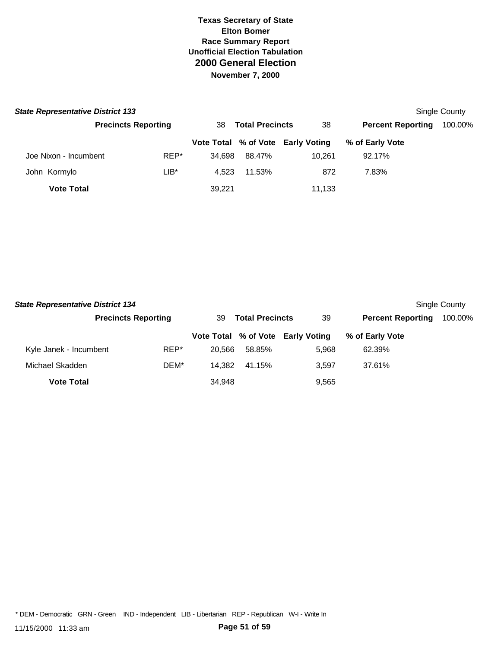| <b>State Representative District 133</b> | Single County              |      |                              |        |                                   |                          |         |
|------------------------------------------|----------------------------|------|------------------------------|--------|-----------------------------------|--------------------------|---------|
|                                          | <b>Precincts Reporting</b> |      | <b>Total Precincts</b><br>38 |        | 38                                | <b>Percent Reporting</b> | 100.00% |
|                                          |                            |      |                              |        | Vote Total % of Vote Early Voting | % of Early Vote          |         |
| Joe Nixon - Incumbent                    |                            | REP* | 34.698                       | 88.47% | 10.261                            | 92.17%                   |         |
| John Kormylo                             |                            | LIB* | 4.523                        | 11.53% | 872                               | 7.83%                    |         |
| <b>Vote Total</b>                        |                            |      | 39,221                       |        | 11,133                            |                          |         |

| <b>State Representative District 134</b> |                            | Single County |                              |                                   |                          |         |
|------------------------------------------|----------------------------|---------------|------------------------------|-----------------------------------|--------------------------|---------|
|                                          | <b>Precincts Reporting</b> |               | <b>Total Precincts</b><br>39 |                                   | <b>Percent Reporting</b> | 100.00% |
|                                          |                            |               |                              | Vote Total % of Vote Early Voting | % of Early Vote          |         |
| Kyle Janek - Incumbent                   | REP*                       | 20.566        | 58.85%                       | 5.968                             | 62.39%                   |         |
| Michael Skadden                          | DEM*                       | 14.382        | 41.15%                       | 3.597                             | 37.61%                   |         |
| <b>Vote Total</b>                        |                            | 34.948        |                              | 9,565                             |                          |         |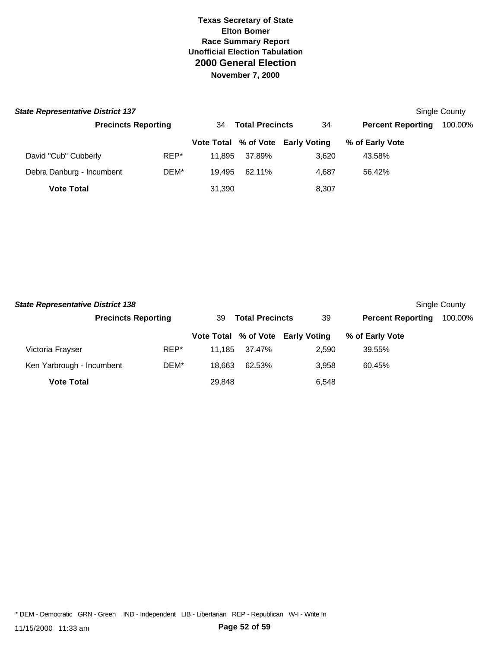| <b>State Representative District 137</b> |                            | Single County |                              |                                   |                          |         |
|------------------------------------------|----------------------------|---------------|------------------------------|-----------------------------------|--------------------------|---------|
|                                          | <b>Precincts Reporting</b> |               | <b>Total Precincts</b><br>34 |                                   | <b>Percent Reporting</b> | 100.00% |
|                                          |                            |               |                              | Vote Total % of Vote Early Voting | % of Early Vote          |         |
| David "Cub" Cubberly                     | REP*                       | 11.895        | 37.89%                       | 3.620                             | 43.58%                   |         |
| Debra Danburg - Incumbent                | DEM*                       | 19.495        | 62.11%                       | 4.687                             | 56.42%                   |         |
| <b>Vote Total</b>                        |                            | 31,390        |                              | 8,307                             |                          |         |

| <b>State Representative District 138</b> |                            |        |                              |                                   |                          | Single County |
|------------------------------------------|----------------------------|--------|------------------------------|-----------------------------------|--------------------------|---------------|
|                                          | <b>Precincts Reporting</b> |        | <b>Total Precincts</b><br>39 |                                   | <b>Percent Reporting</b> | 100.00%       |
|                                          |                            |        |                              | Vote Total % of Vote Early Voting | % of Early Vote          |               |
| Victoria Frayser                         | REP*                       | 11.185 | 37.47%                       | 2.590                             | 39.55%                   |               |
| Ken Yarbrough - Incumbent                | DEM*                       | 18.663 | 62.53%                       | 3.958                             | 60.45%                   |               |
| <b>Vote Total</b>                        |                            | 29.848 |                              | 6,548                             |                          |               |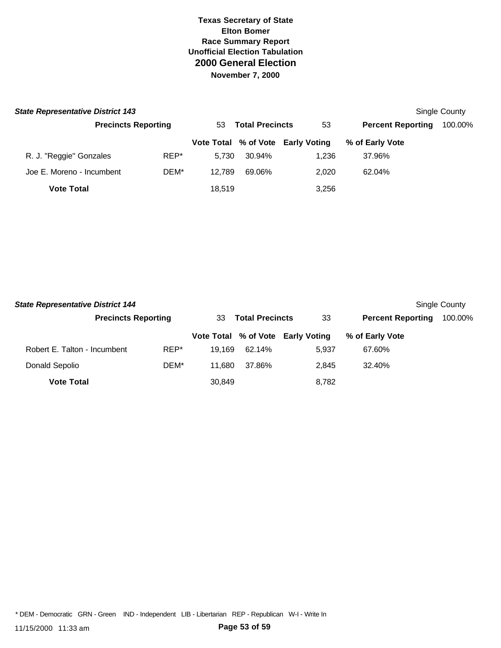| <b>State Representative District 143</b> | Single County              |        |                        |                                   |                          |         |
|------------------------------------------|----------------------------|--------|------------------------|-----------------------------------|--------------------------|---------|
|                                          | <b>Precincts Reporting</b> | 53     | <b>Total Precincts</b> |                                   | <b>Percent Reporting</b> | 100.00% |
|                                          |                            |        |                        | Vote Total % of Vote Early Voting | % of Early Vote          |         |
| R. J. "Reggie" Gonzales                  | REP*                       | 5.730  | 30.94%                 | 1.236                             | 37.96%                   |         |
| Joe E. Moreno - Incumbent                | DEM*                       | 12.789 | 69.06%                 | 2.020                             | 62.04%                   |         |
| <b>Vote Total</b>                        |                            | 18.519 |                        | 3.256                             |                          |         |

| <b>State Representative District 144</b> |                            |        |                              |                                   |                          | Single County |
|------------------------------------------|----------------------------|--------|------------------------------|-----------------------------------|--------------------------|---------------|
|                                          | <b>Precincts Reporting</b> |        | <b>Total Precincts</b><br>33 |                                   | <b>Percent Reporting</b> | 100.00%       |
|                                          |                            |        |                              | Vote Total % of Vote Early Voting | % of Early Vote          |               |
| Robert E. Talton - Incumbent             | REP*                       | 19.169 | 62.14%                       | 5.937                             | 67.60%                   |               |
| Donald Sepolio                           | DEM*                       | 11.680 | 37.86%                       | 2.845                             | 32.40%                   |               |
| <b>Vote Total</b>                        |                            | 30,849 |                              | 8,782                             |                          |               |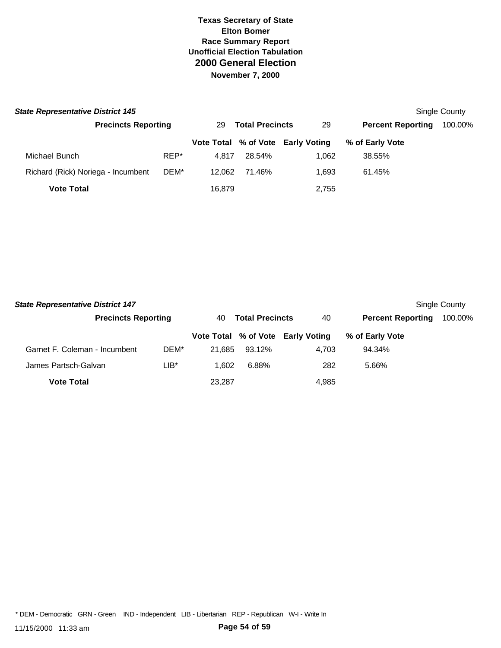| <b>State Representative District 145</b> |                            |        |                              |                                   |                          | Single County |
|------------------------------------------|----------------------------|--------|------------------------------|-----------------------------------|--------------------------|---------------|
|                                          | <b>Precincts Reporting</b> |        | <b>Total Precincts</b><br>29 |                                   | <b>Percent Reporting</b> | 100.00%       |
|                                          |                            |        |                              | Vote Total % of Vote Early Voting | % of Early Vote          |               |
| Michael Bunch                            | REP*                       | 4.817  | 28.54%                       | 1.062                             | 38.55%                   |               |
| Richard (Rick) Noriega - Incumbent       | DEM*                       | 12.062 | 71.46%                       | 1.693                             | 61.45%                   |               |
| <b>Vote Total</b>                        |                            | 16,879 |                              | 2,755                             |                          |               |

| <b>State Representative District 147</b> |                            |        |                              |                                   |                          | Single County |
|------------------------------------------|----------------------------|--------|------------------------------|-----------------------------------|--------------------------|---------------|
|                                          | <b>Precincts Reporting</b> |        | <b>Total Precincts</b><br>40 |                                   | <b>Percent Reporting</b> | 100.00%       |
|                                          |                            |        |                              | Vote Total % of Vote Early Voting | % of Early Vote          |               |
| Garnet F. Coleman - Incumbent            | DEM*                       | 21.685 | 93.12%                       | 4.703                             | 94.34%                   |               |
| James Partsch-Galvan                     | LIB*                       | 1.602  | 6.88%                        | 282                               | 5.66%                    |               |
| <b>Vote Total</b>                        |                            | 23,287 |                              | 4,985                             |                          |               |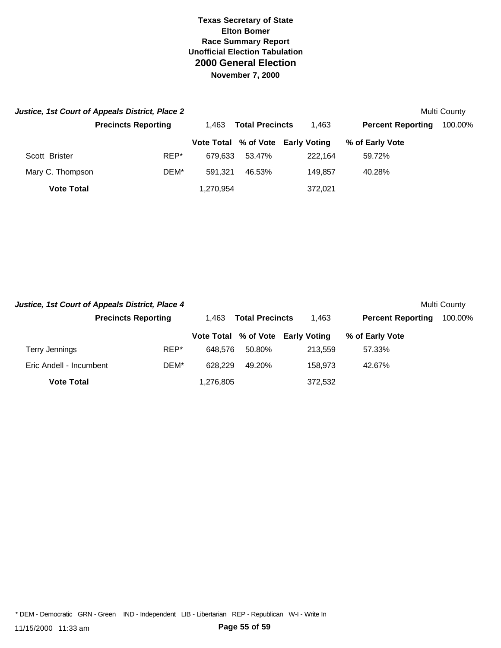|                   | Justice, 1st Court of Appeals District, Place 2 |                                 |        |                                   |                          | Multi County |
|-------------------|-------------------------------------------------|---------------------------------|--------|-----------------------------------|--------------------------|--------------|
|                   | <b>Precincts Reporting</b>                      | <b>Total Precincts</b><br>1.463 |        | 1,463                             | <b>Percent Reporting</b> | 100.00%      |
|                   |                                                 |                                 |        | Vote Total % of Vote Early Voting | % of Early Vote          |              |
| Scott Brister     | REP*                                            | 679.633                         | 53.47% | 222.164                           | 59.72%                   |              |
| Mary C. Thompson  | DEM*                                            | 591.321                         | 46.53% | 149.857                           | 40.28%                   |              |
| <b>Vote Total</b> |                                                 | 1.270.954                       |        | 372,021                           |                          |              |

| Justice, 1st Court of Appeals District, Place 4 |                            |                                 |        |                                   |                          | Multi County |
|-------------------------------------------------|----------------------------|---------------------------------|--------|-----------------------------------|--------------------------|--------------|
|                                                 | <b>Precincts Reporting</b> | <b>Total Precincts</b><br>1.463 |        | 1.463                             | <b>Percent Reporting</b> | 100.00%      |
|                                                 |                            |                                 |        | Vote Total % of Vote Early Voting | % of Early Vote          |              |
| Terry Jennings                                  | REP*                       | 648.576                         | 50.80% | 213.559                           | 57.33%                   |              |
| Eric Andell - Incumbent                         | DEM*                       | 628.229                         | 49.20% | 158.973                           | 42.67%                   |              |
| <b>Vote Total</b>                               |                            | 1,276,805                       |        | 372,532                           |                          |              |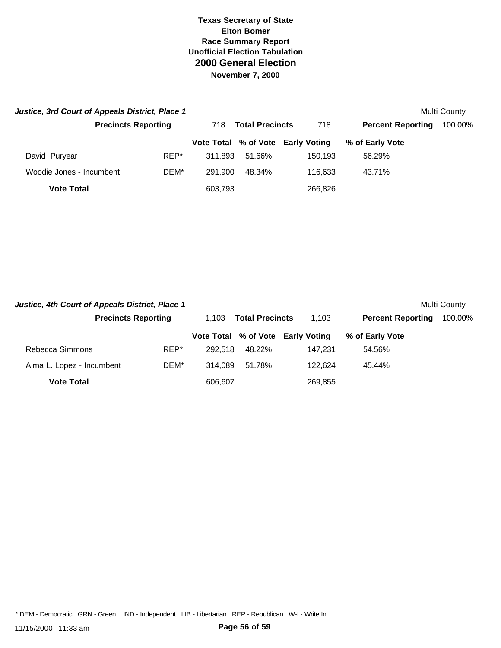| Justice, 3rd Court of Appeals District, Place 1 |                            |      |                               |        |                                   |                          | Multi County |
|-------------------------------------------------|----------------------------|------|-------------------------------|--------|-----------------------------------|--------------------------|--------------|
|                                                 | <b>Precincts Reporting</b> |      | <b>Total Precincts</b><br>718 |        | 718                               | <b>Percent Reporting</b> | 100.00%      |
|                                                 |                            |      |                               |        | Vote Total % of Vote Early Voting | % of Early Vote          |              |
| David Puryear                                   |                            | REP* | 311.893                       | 51.66% | 150.193                           | 56.29%                   |              |
| Woodie Jones - Incumbent                        |                            | DEM* | 291.900                       | 48.34% | 116.633                           | 43.71%                   |              |
| <b>Vote Total</b>                               |                            |      | 603,793                       |        | 266,826                           |                          |              |

| Justice, 4th Court of Appeals District, Place 1 |                            |         |                                 |                                   |                          | Multi County |
|-------------------------------------------------|----------------------------|---------|---------------------------------|-----------------------------------|--------------------------|--------------|
|                                                 | <b>Precincts Reporting</b> |         | <b>Total Precincts</b><br>1.103 |                                   | <b>Percent Reporting</b> | 100.00%      |
|                                                 |                            |         |                                 | Vote Total % of Vote Early Voting | % of Early Vote          |              |
| Rebecca Simmons                                 | REP*                       | 292.518 | 48.22%                          | 147.231                           | 54.56%                   |              |
| Alma L. Lopez - Incumbent                       | DEM*                       | 314.089 | 51.78%                          | 122.624                           | 45.44%                   |              |
| <b>Vote Total</b>                               |                            | 606,607 |                                 | 269,855                           |                          |              |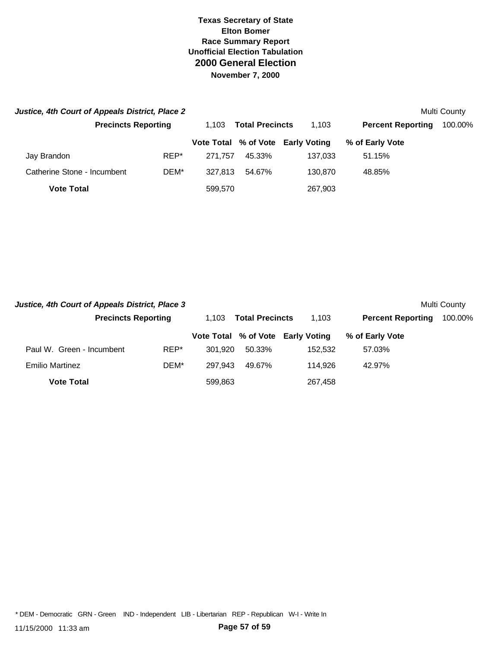| Justice, 4th Court of Appeals District, Place 2 |                            |         |                        |                                   |                          | Multi County |
|-------------------------------------------------|----------------------------|---------|------------------------|-----------------------------------|--------------------------|--------------|
|                                                 | <b>Precincts Reporting</b> | 1.103   | <b>Total Precincts</b> |                                   | <b>Percent Reporting</b> | 100.00%      |
|                                                 |                            |         |                        | Vote Total % of Vote Early Voting | % of Early Vote          |              |
| Jay Brandon                                     | REP*                       | 271.757 | 45.33%                 | 137.033                           | 51.15%                   |              |
| Catherine Stone - Incumbent                     | DEM*                       | 327.813 | 54.67%                 | 130.870                           | 48.85%                   |              |
| <b>Vote Total</b>                               |                            | 599,570 |                        | 267,903                           |                          |              |

| Justice, 4th Court of Appeals District, Place 3 |                            |         |                                 |                                   |                          | Multi County |
|-------------------------------------------------|----------------------------|---------|---------------------------------|-----------------------------------|--------------------------|--------------|
|                                                 | <b>Precincts Reporting</b> |         | <b>Total Precincts</b><br>1.103 |                                   | <b>Percent Reporting</b> | 100.00%      |
|                                                 |                            |         |                                 | Vote Total % of Vote Early Voting | % of Early Vote          |              |
| Paul W. Green - Incumbent                       | REP*                       | 301.920 | 50.33%                          | 152.532                           | 57.03%                   |              |
| <b>Emilio Martinez</b>                          | DEM*                       | 297.943 | 49.67%                          | 114.926                           | 42.97%                   |              |
| <b>Vote Total</b>                               |                            | 599.863 |                                 | 267,458                           |                          |              |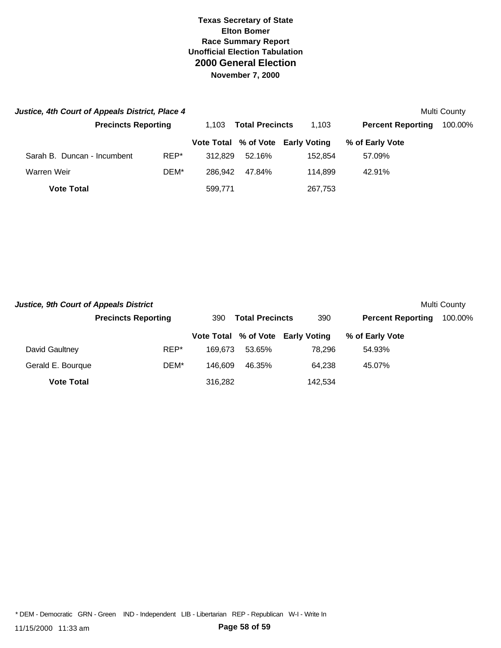| Justice, 4th Court of Appeals District, Place 4 |                            |      |                                 |        |                                   |                          | Multi County |
|-------------------------------------------------|----------------------------|------|---------------------------------|--------|-----------------------------------|--------------------------|--------------|
|                                                 | <b>Precincts Reporting</b> |      | <b>Total Precincts</b><br>1.103 |        | 1,103                             | <b>Percent Reporting</b> | 100.00%      |
|                                                 |                            |      |                                 |        | Vote Total % of Vote Early Voting | % of Early Vote          |              |
| Sarah B. Duncan - Incumbent                     |                            | REP* | 312.829                         | 52.16% | 152.854                           | 57.09%                   |              |
| Warren Weir                                     |                            | DEM* | 286.942                         | 47.84% | 114.899                           | 42.91%                   |              |
| <b>Vote Total</b>                               |                            |      | 599,771                         |        | 267,753                           |                          |              |

| <b>Justice, 9th Court of Appeals District</b> |                            |                               |        |                                   |                          | Multi County |
|-----------------------------------------------|----------------------------|-------------------------------|--------|-----------------------------------|--------------------------|--------------|
|                                               | <b>Precincts Reporting</b> | <b>Total Precincts</b><br>390 |        | 390                               | <b>Percent Reporting</b> | 100.00%      |
|                                               |                            |                               |        | Vote Total % of Vote Early Voting | % of Early Vote          |              |
| David Gaultney                                | REP*                       | 169.673                       | 53.65% | 78.296                            | 54.93%                   |              |
| Gerald E. Bourque                             | DEM*                       | 146.609                       | 46.35% | 64.238                            | 45.07%                   |              |
| <b>Vote Total</b>                             |                            | 316.282                       |        | 142.534                           |                          |              |